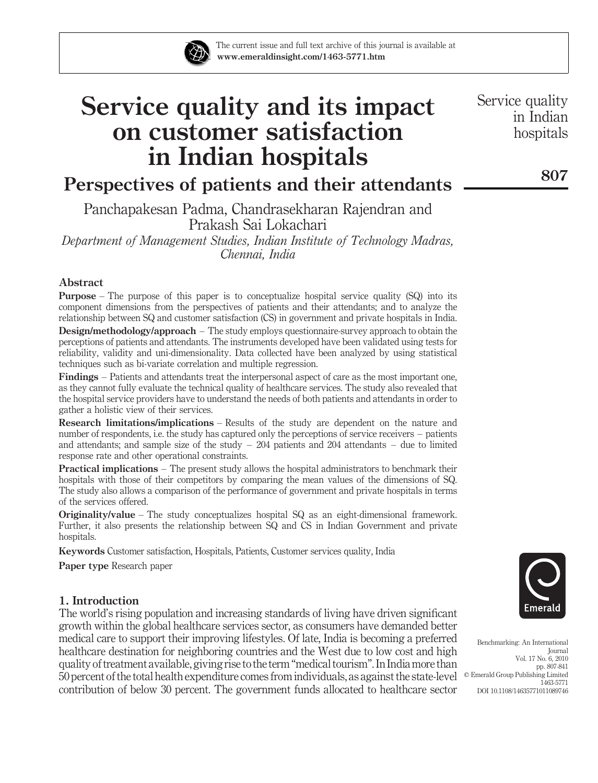

# Service quality and its impact on customer satisfaction in Indian hospitals

# Perspectives of patients and their attendants

Panchapakesan Padma, Chandrasekharan Rajendran and Prakash Sai Lokachari

*Department of Management Studies, Indian Institute of Technology Madras, Chennai, India*

# Abstract

Purpose – The purpose of this paper is to conceptualize hospital service quality (SQ) into its component dimensions from the perspectives of patients and their attendants; and to analyze the relationship between SQ and customer satisfaction (CS) in government and private hospitals in India.

Design/methodology/approach – The study employs questionnaire-survey approach to obtain the perceptions of patients and attendants. The instruments developed have been validated using tests for reliability, validity and uni-dimensionality. Data collected have been analyzed by using statistical techniques such as bi-variate correlation and multiple regression.

Findings – Patients and attendants treat the interpersonal aspect of care as the most important one, as they cannot fully evaluate the technical quality of healthcare services. The study also revealed that the hospital service providers have to understand the needs of both patients and attendants in order to gather a holistic view of their services.

Research limitations/implications – Results of the study are dependent on the nature and number of respondents, i.e. the study has captured only the perceptions of service receivers – patients and attendants; and sample size of the study  $-204$  patients and 204 attendants  $-$  due to limited response rate and other operational constraints.

Practical implications – The present study allows the hospital administrators to benchmark their hospitals with those of their competitors by comparing the mean values of the dimensions of SQ. The study also allows a comparison of the performance of government and private hospitals in terms of the services offered.

Originality/value – The study conceptualizes hospital SQ as an eight-dimensional framework. Further, it also presents the relationship between SQ and CS in Indian Government and private hospitals.

Keywords Customer satisfaction, Hospitals, Patients, Customer services quality, India Paper type Research paper

# 1. Introduction

The world's rising population and increasing standards of living have driven significant growth within the global healthcare services sector, as consumers have demanded better medical care to support their improving lifestyles. Of late, India is becoming a preferred healthcare destination for neighboring countries and the West due to low cost and high quality of treatment available, giving rise to the term "medical tourism". In India more than 50 percent of the total health expenditure comes from individuals, as against the state-level  $\circ$  Emerald Group Publishing Limited  $\overline{\text{max}}$ contribution of below 30 percent. The government funds allocated to healthcare sector

Benchmarking: An International Journal Vol. 17 No. 6, 2010 pp. 807-841

1463-5771 DOI 10.1108/14635771011089746

Service quality in Indian hospitals

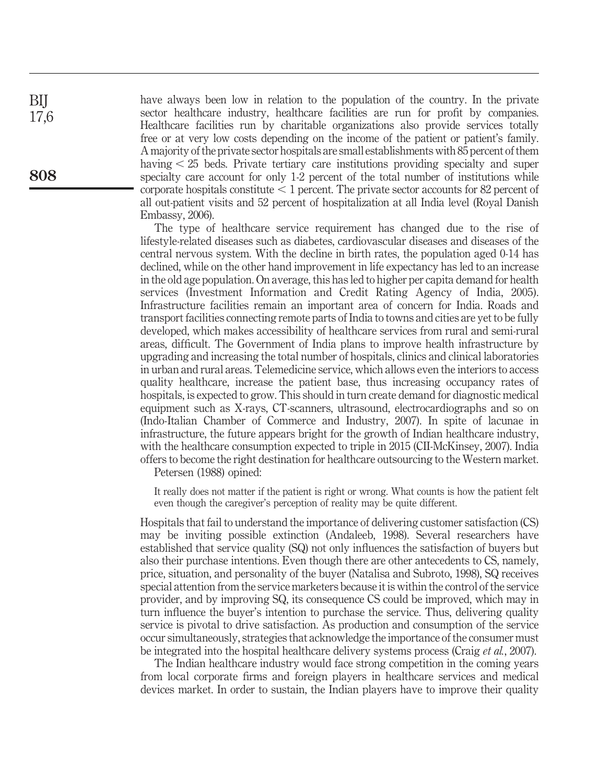have always been low in relation to the population of the country. In the private sector healthcare industry, healthcare facilities are run for profit by companies. Healthcare facilities run by charitable organizations also provide services totally free or at very low costs depending on the income of the patient or patient's family. A majority of the private sector hospitals are small establishments with 85 percent of them having  $\lt 25$  beds. Private tertiary care institutions providing specialty and super specialty care account for only 1-2 percent of the total number of institutions while corporate hospitals constitute  $< 1$  percent. The private sector accounts for 82 percent of all out-patient visits and 52 percent of hospitalization at all India level (Royal Danish Embassy, 2006).

The type of healthcare service requirement has changed due to the rise of lifestyle-related diseases such as diabetes, cardiovascular diseases and diseases of the central nervous system. With the decline in birth rates, the population aged 0-14 has declined, while on the other hand improvement in life expectancy has led to an increase in the old age population. On average, this has led to higher per capita demand for health services (Investment Information and Credit Rating Agency of India, 2005). Infrastructure facilities remain an important area of concern for India. Roads and transport facilities connecting remote parts of India to towns and cities are yet to be fully developed, which makes accessibility of healthcare services from rural and semi-rural areas, difficult. The Government of India plans to improve health infrastructure by upgrading and increasing the total number of hospitals, clinics and clinical laboratories in urban and rural areas. Telemedicine service, which allows even the interiors to access quality healthcare, increase the patient base, thus increasing occupancy rates of hospitals, is expected to grow. This should in turn create demand for diagnostic medical equipment such as X-rays, CT-scanners, ultrasound, electrocardiographs and so on (Indo-Italian Chamber of Commerce and Industry, 2007). In spite of lacunae in infrastructure, the future appears bright for the growth of Indian healthcare industry, with the healthcare consumption expected to triple in 2015 (CII-McKinsey, 2007). India offers to become the right destination for healthcare outsourcing to the Western market.

Petersen (1988) opined:

It really does not matter if the patient is right or wrong. What counts is how the patient felt even though the caregiver's perception of reality may be quite different.

Hospitals that fail to understand the importance of delivering customer satisfaction (CS) may be inviting possible extinction (Andaleeb, 1998). Several researchers have established that service quality (SQ) not only influences the satisfaction of buyers but also their purchase intentions. Even though there are other antecedents to CS, namely, price, situation, and personality of the buyer (Natalisa and Subroto, 1998), SQ receives special attention from the service marketers because it is within the control of the service provider, and by improving SQ, its consequence CS could be improved, which may in turn influence the buyer's intention to purchase the service. Thus, delivering quality service is pivotal to drive satisfaction. As production and consumption of the service occur simultaneously, strategies that acknowledge the importance of the consumer must be integrated into the hospital healthcare delivery systems process (Craig *et al.*, 2007).

The Indian healthcare industry would face strong competition in the coming years from local corporate firms and foreign players in healthcare services and medical devices market. In order to sustain, the Indian players have to improve their quality

808

BIJ 17,6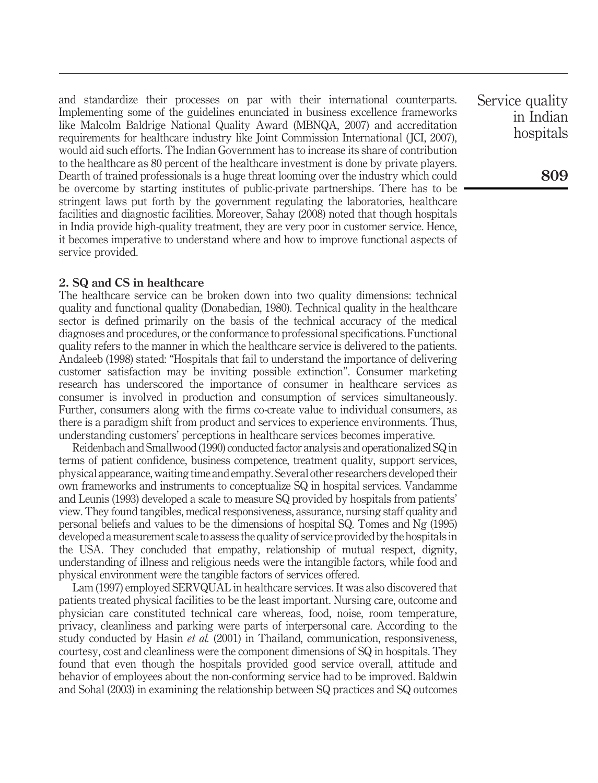and standardize their processes on par with their international counterparts. Implementing some of the guidelines enunciated in business excellence frameworks like Malcolm Baldrige National Quality Award (MBNQA, 2007) and accreditation requirements for healthcare industry like Joint Commission International (ICI, 2007), would aid such efforts. The Indian Government has to increase its share of contribution to the healthcare as 80 percent of the healthcare investment is done by private players. Dearth of trained professionals is a huge threat looming over the industry which could be overcome by starting institutes of public-private partnerships. There has to be stringent laws put forth by the government regulating the laboratories, healthcare facilities and diagnostic facilities. Moreover, Sahay (2008) noted that though hospitals in India provide high-quality treatment, they are very poor in customer service. Hence, it becomes imperative to understand where and how to improve functional aspects of service provided.

# 2. SQ and CS in healthcare

The healthcare service can be broken down into two quality dimensions: technical quality and functional quality (Donabedian, 1980). Technical quality in the healthcare sector is defined primarily on the basis of the technical accuracy of the medical diagnoses and procedures, or the conformance to professional specifications. Functional quality refers to the manner in which the healthcare service is delivered to the patients. Andaleeb (1998) stated: "Hospitals that fail to understand the importance of delivering customer satisfaction may be inviting possible extinction". Consumer marketing research has underscored the importance of consumer in healthcare services as consumer is involved in production and consumption of services simultaneously. Further, consumers along with the firms co-create value to individual consumers, as there is a paradigm shift from product and services to experience environments. Thus, understanding customers' perceptions in healthcare services becomes imperative.

Reidenbach and Smallwood (1990) conducted factor analysis and operationalized SQ in terms of patient confidence, business competence, treatment quality, support services, physical appearance, waiting time and empathy. Several other researchers developed their own frameworks and instruments to conceptualize SQ in hospital services. Vandamme and Leunis (1993) developed a scale to measure SQ provided by hospitals from patients' view. They found tangibles, medical responsiveness, assurance, nursing staff quality and personal beliefs and values to be the dimensions of hospital SQ. Tomes and Ng (1995) developed a measurement scale to assess the quality of service provided by the hospitals in the USA. They concluded that empathy, relationship of mutual respect, dignity, understanding of illness and religious needs were the intangible factors, while food and physical environment were the tangible factors of services offered.

Lam (1997) employed SERVQUAL in healthcare services. It was also discovered that patients treated physical facilities to be the least important. Nursing care, outcome and physician care constituted technical care whereas, food, noise, room temperature, privacy, cleanliness and parking were parts of interpersonal care. According to the study conducted by Hasin *et al.* (2001) in Thailand, communication, responsiveness, courtesy, cost and cleanliness were the component dimensions of SQ in hospitals. They found that even though the hospitals provided good service overall, attitude and behavior of employees about the non-conforming service had to be improved. Baldwin and Sohal (2003) in examining the relationship between SQ practices and SQ outcomes Service quality in Indian hospitals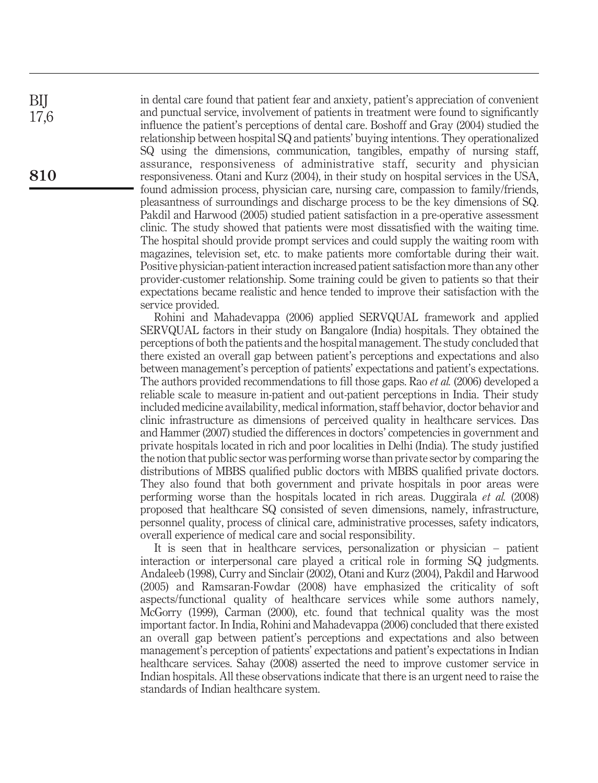in dental care found that patient fear and anxiety, patient's appreciation of convenient and punctual service, involvement of patients in treatment were found to significantly influence the patient's perceptions of dental care. Boshoff and Gray (2004) studied the relationship between hospital SQ and patients' buying intentions. They operationalized SQ using the dimensions, communication, tangibles, empathy of nursing staff, assurance, responsiveness of administrative staff, security and physician responsiveness. Otani and Kurz (2004), in their study on hospital services in the USA, found admission process, physician care, nursing care, compassion to family/friends, pleasantness of surroundings and discharge process to be the key dimensions of SQ. Pakdil and Harwood (2005) studied patient satisfaction in a pre-operative assessment clinic. The study showed that patients were most dissatisfied with the waiting time. The hospital should provide prompt services and could supply the waiting room with magazines, television set, etc. to make patients more comfortable during their wait. Positive physician-patient interaction increased patient satisfaction more than any other provider-customer relationship. Some training could be given to patients so that their expectations became realistic and hence tended to improve their satisfaction with the service provided.

Rohini and Mahadevappa (2006) applied SERVQUAL framework and applied SERVQUAL factors in their study on Bangalore (India) hospitals. They obtained the perceptions of both the patients and the hospital management. The study concluded that there existed an overall gap between patient's perceptions and expectations and also between management's perception of patients' expectations and patient's expectations. The authors provided recommendations to fill those gaps. Rao *et al.* (2006) developed a reliable scale to measure in-patient and out-patient perceptions in India. Their study included medicine availability, medical information, staff behavior, doctor behavior and clinic infrastructure as dimensions of perceived quality in healthcare services. Das and Hammer (2007) studied the differences in doctors' competencies in government and private hospitals located in rich and poor localities in Delhi (India). The study justified the notion that public sector was performing worse than private sector by comparing the distributions of MBBS qualified public doctors with MBBS qualified private doctors. They also found that both government and private hospitals in poor areas were performing worse than the hospitals located in rich areas. Duggirala *et al.* (2008) proposed that healthcare SQ consisted of seven dimensions, namely, infrastructure, personnel quality, process of clinical care, administrative processes, safety indicators, overall experience of medical care and social responsibility.

It is seen that in healthcare services, personalization or physician – patient interaction or interpersonal care played a critical role in forming SQ judgments. Andaleeb (1998), Curry and Sinclair (2002), Otani and Kurz (2004), Pakdil and Harwood (2005) and Ramsaran-Fowdar (2008) have emphasized the criticality of soft aspects/functional quality of healthcare services while some authors namely, McGorry (1999), Carman (2000), etc. found that technical quality was the most important factor. In India, Rohini and Mahadevappa (2006) concluded that there existed an overall gap between patient's perceptions and expectations and also between management's perception of patients' expectations and patient's expectations in Indian healthcare services. Sahay (2008) asserted the need to improve customer service in Indian hospitals. All these observations indicate that there is an urgent need to raise the standards of Indian healthcare system.

BIJ 17,6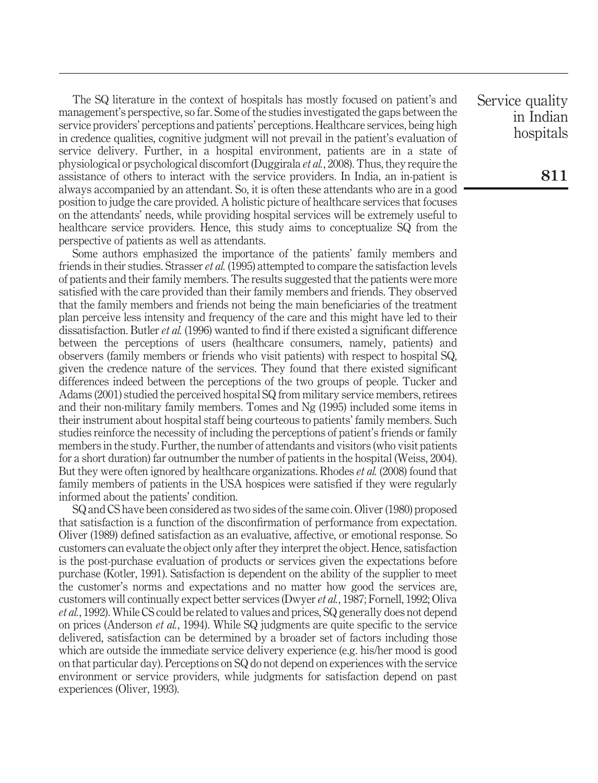The SQ literature in the context of hospitals has mostly focused on patient's and management's perspective, so far. Some of the studies investigated the gaps between the service providers' perceptions and patients' perceptions. Healthcare services, being high in credence qualities, cognitive judgment will not prevail in the patient's evaluation of service delivery. Further, in a hospital environment, patients are in a state of physiological or psychological discomfort (Duggirala *et al.*, 2008). Thus, they require the assistance of others to interact with the service providers. In India, an in-patient is always accompanied by an attendant. So, it is often these attendants who are in a good position to judge the care provided. A holistic picture of healthcare services that focuses on the attendants' needs, while providing hospital services will be extremely useful to healthcare service providers. Hence, this study aims to conceptualize SQ from the perspective of patients as well as attendants.

Some authors emphasized the importance of the patients' family members and friends in their studies. Strasser *et al.* (1995) attempted to compare the satisfaction levels of patients and their family members. The results suggested that the patients were more satisfied with the care provided than their family members and friends. They observed that the family members and friends not being the main beneficiaries of the treatment plan perceive less intensity and frequency of the care and this might have led to their dissatisfaction. Butler *et al.* (1996) wanted to find if there existed a significant difference between the perceptions of users (healthcare consumers, namely, patients) and observers (family members or friends who visit patients) with respect to hospital SQ, given the credence nature of the services. They found that there existed significant differences indeed between the perceptions of the two groups of people. Tucker and Adams (2001) studied the perceived hospital SQ from military service members, retirees and their non-military family members. Tomes and Ng (1995) included some items in their instrument about hospital staff being courteous to patients' family members. Such studies reinforce the necessity of including the perceptions of patient's friends or family members in the study. Further, the number of attendants and visitors (who visit patients for a short duration) far outnumber the number of patients in the hospital (Weiss, 2004). But they were often ignored by healthcare organizations. Rhodes *et al.* (2008) found that family members of patients in the USA hospices were satisfied if they were regularly informed about the patients' condition.

SQ and CS have been considered as two sides of the same coin. Oliver (1980) proposed that satisfaction is a function of the disconfirmation of performance from expectation. Oliver (1989) defined satisfaction as an evaluative, affective, or emotional response. So customers can evaluate the object only after they interpret the object. Hence, satisfaction is the post-purchase evaluation of products or services given the expectations before purchase (Kotler, 1991). Satisfaction is dependent on the ability of the supplier to meet the customer's norms and expectations and no matter how good the services are, customers will continually expect better services (Dwyer *et al.*, 1987; Fornell, 1992; Oliva *et al.*, 1992). While CS could be related to values and prices, SQ generally does not depend on prices (Anderson *et al.*, 1994). While SQ judgments are quite specific to the service delivered, satisfaction can be determined by a broader set of factors including those which are outside the immediate service delivery experience (e.g. his/her mood is good on that particular day). Perceptions on SQ do not depend on experiences with the service environment or service providers, while judgments for satisfaction depend on past experiences (Oliver, 1993).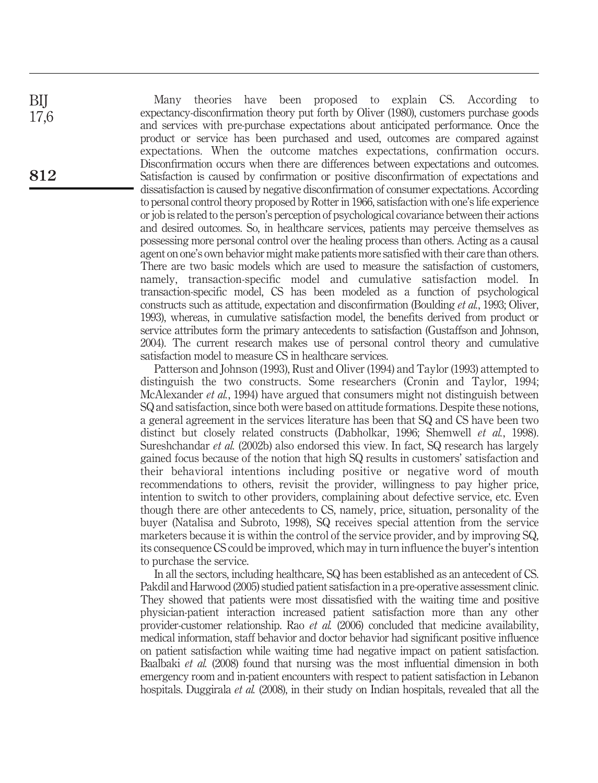Many theories have been proposed to explain CS. According to expectancy-disconfirmation theory put forth by Oliver (1980), customers purchase goods and services with pre-purchase expectations about anticipated performance. Once the product or service has been purchased and used, outcomes are compared against expectations. When the outcome matches expectations, confirmation occurs. Disconfirmation occurs when there are differences between expectations and outcomes. Satisfaction is caused by confirmation or positive disconfirmation of expectations and dissatisfaction is caused by negative disconfirmation of consumer expectations. According to personal control theory proposed by Rotter in 1966, satisfaction with one's life experience or job is related to the person's perception of psychological covariance between their actions and desired outcomes. So, in healthcare services, patients may perceive themselves as possessing more personal control over the healing process than others. Acting as a causal agent on one's own behavior might make patients more satisfied with their care than others. There are two basic models which are used to measure the satisfaction of customers, namely, transaction-specific model and cumulative satisfaction model. In transaction-specific model, CS has been modeled as a function of psychological constructs such as attitude, expectation and disconfirmation (Boulding *et al.*, 1993; Oliver, 1993), whereas, in cumulative satisfaction model, the benefits derived from product or service attributes form the primary antecedents to satisfaction (Gustaffson and Johnson, 2004). The current research makes use of personal control theory and cumulative satisfaction model to measure CS in healthcare services.

Patterson and Johnson (1993), Rust and Oliver (1994) and Taylor (1993) attempted to distinguish the two constructs. Some researchers (Cronin and Taylor, 1994; McAlexander *et al.*, 1994) have argued that consumers might not distinguish between SQ and satisfaction, since both were based on attitude formations. Despite these notions, a general agreement in the services literature has been that SQ and CS have been two distinct but closely related constructs (Dabholkar, 1996; Shemwell *et al.*, 1998). Sureshchandar *et al.* (2002b) also endorsed this view. In fact, SQ research has largely gained focus because of the notion that high SQ results in customers' satisfaction and their behavioral intentions including positive or negative word of mouth recommendations to others, revisit the provider, willingness to pay higher price, intention to switch to other providers, complaining about defective service, etc. Even though there are other antecedents to CS, namely, price, situation, personality of the buyer (Natalisa and Subroto, 1998), SQ receives special attention from the service marketers because it is within the control of the service provider, and by improving SQ, its consequence CS could be improved, which may in turn influence the buyer's intention to purchase the service.

In all the sectors, including healthcare, SQ has been established as an antecedent of CS. Pakdil and Harwood (2005) studied patient satisfaction in a pre-operative assessment clinic. They showed that patients were most dissatisfied with the waiting time and positive physician-patient interaction increased patient satisfaction more than any other provider-customer relationship. Rao *et al.* (2006) concluded that medicine availability, medical information, staff behavior and doctor behavior had significant positive influence on patient satisfaction while waiting time had negative impact on patient satisfaction. Baalbaki *et al.* (2008) found that nursing was the most influential dimension in both emergency room and in-patient encounters with respect to patient satisfaction in Lebanon hospitals. Duggirala *et al.* (2008), in their study on Indian hospitals, revealed that all the

812

BIJ 17,6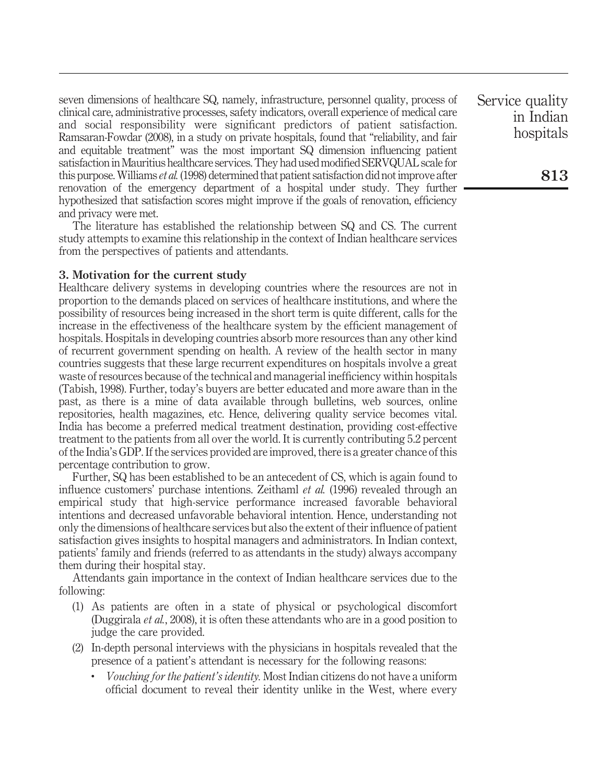seven dimensions of healthcare SQ, namely, infrastructure, personnel quality, process of clinical care, administrative processes, safety indicators, overall experience of medical care and social responsibility were significant predictors of patient satisfaction. Ramsaran-Fowdar (2008), in a study on private hospitals, found that "reliability, and fair and equitable treatment" was the most important SQ dimension influencing patient satisfaction in Mauritius healthcare services. They had used modified SERVQUAL scale for this purpose.Williams *et al.* (1998) determined that patient satisfaction did not improve after renovation of the emergency department of a hospital under study. They further hypothesized that satisfaction scores might improve if the goals of renovation, efficiency and privacy were met.

The literature has established the relationship between SQ and CS. The current study attempts to examine this relationship in the context of Indian healthcare services from the perspectives of patients and attendants.

#### 3. Motivation for the current study

Healthcare delivery systems in developing countries where the resources are not in proportion to the demands placed on services of healthcare institutions, and where the possibility of resources being increased in the short term is quite different, calls for the increase in the effectiveness of the healthcare system by the efficient management of hospitals. Hospitals in developing countries absorb more resources than any other kind of recurrent government spending on health. A review of the health sector in many countries suggests that these large recurrent expenditures on hospitals involve a great waste of resources because of the technical and managerial inefficiency within hospitals (Tabish, 1998). Further, today's buyers are better educated and more aware than in the past, as there is a mine of data available through bulletins, web sources, online repositories, health magazines, etc. Hence, delivering quality service becomes vital. India has become a preferred medical treatment destination, providing cost-effective treatment to the patients from all over the world. It is currently contributing 5.2 percent of the India's GDP. If the services provided are improved, there is a greater chance of this percentage contribution to grow.

Further, SQ has been established to be an antecedent of CS, which is again found to influence customers' purchase intentions. Zeithaml *et al.* (1996) revealed through an empirical study that high-service performance increased favorable behavioral intentions and decreased unfavorable behavioral intention. Hence, understanding not only the dimensions of healthcare services but also the extent of their influence of patient satisfaction gives insights to hospital managers and administrators. In Indian context, patients' family and friends (referred to as attendants in the study) always accompany them during their hospital stay.

Attendants gain importance in the context of Indian healthcare services due to the following:

- (1) As patients are often in a state of physical or psychological discomfort (Duggirala *et al.*, 2008), it is often these attendants who are in a good position to judge the care provided.
- (2) In-depth personal interviews with the physicians in hospitals revealed that the presence of a patient's attendant is necessary for the following reasons:
	- . *Vouching for the patient's identity.* Most Indian citizens do not have a uniform official document to reveal their identity unlike in the West, where every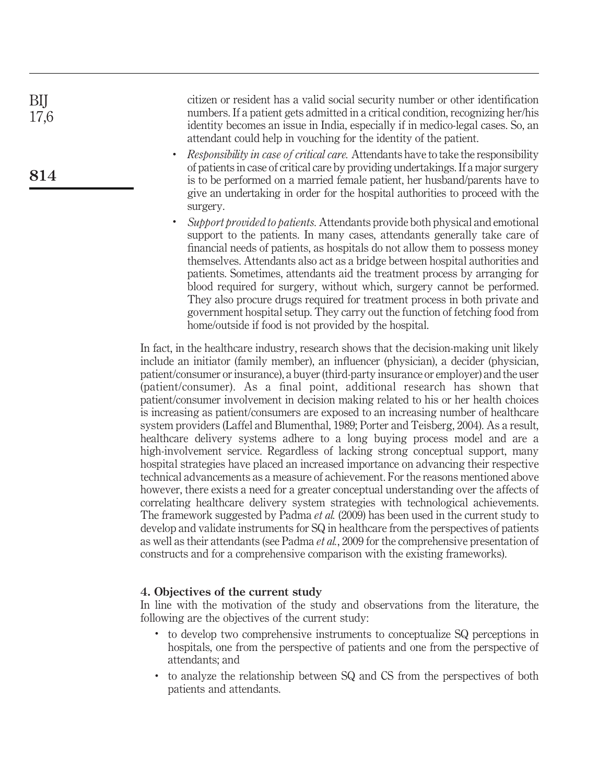citizen or resident has a valid social security number or other identification numbers. If a patient gets admitted in a critical condition, recognizing her/his identity becomes an issue in India, especially if in medico-legal cases. So, an attendant could help in vouching for the identity of the patient.

- . *Responsibility in case of critical care.* Attendants have to take the responsibility of patients in case of critical care by providing undertakings. If a major surgery is to be performed on a married female patient, her husband/parents have to give an undertaking in order for the hospital authorities to proceed with the surgery.
- . *Support provided to patients.* Attendants provide both physical and emotional support to the patients. In many cases, attendants generally take care of financial needs of patients, as hospitals do not allow them to possess money themselves. Attendants also act as a bridge between hospital authorities and patients. Sometimes, attendants aid the treatment process by arranging for blood required for surgery, without which, surgery cannot be performed. They also procure drugs required for treatment process in both private and government hospital setup. They carry out the function of fetching food from home/outside if food is not provided by the hospital.

In fact, in the healthcare industry, research shows that the decision-making unit likely include an initiator (family member), an influencer (physician), a decider (physician, patient/consumer or insurance), a buyer (third-party insurance or employer) and the user (patient/consumer). As a final point, additional research has shown that patient/consumer involvement in decision making related to his or her health choices is increasing as patient/consumers are exposed to an increasing number of healthcare system providers (Laffel and Blumenthal, 1989; Porter and Teisberg, 2004). As a result, healthcare delivery systems adhere to a long buying process model and are a high-involvement service. Regardless of lacking strong conceptual support, many hospital strategies have placed an increased importance on advancing their respective technical advancements as a measure of achievement. For the reasons mentioned above however, there exists a need for a greater conceptual understanding over the affects of correlating healthcare delivery system strategies with technological achievements. The framework suggested by Padma *et al.* (2009) has been used in the current study to develop and validate instruments for SQ in healthcare from the perspectives of patients as well as their attendants (see Padma *et al.*, 2009 for the comprehensive presentation of constructs and for a comprehensive comparison with the existing frameworks).

# 4. Objectives of the current study

In line with the motivation of the study and observations from the literature, the following are the objectives of the current study:

- . to develop two comprehensive instruments to conceptualize SQ perceptions in hospitals, one from the perspective of patients and one from the perspective of attendants; and
- . to analyze the relationship between SQ and CS from the perspectives of both patients and attendants.

814

BIJ 17,6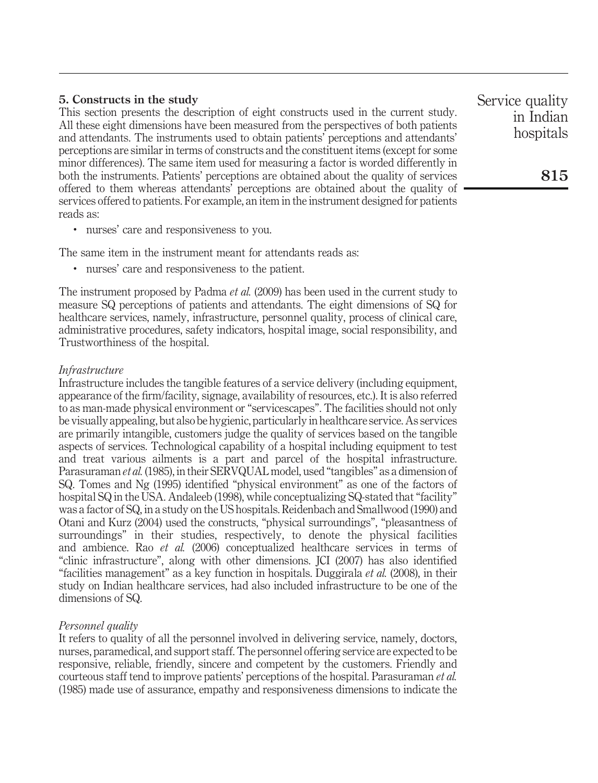# 5. Constructs in the study

This section presents the description of eight constructs used in the current study. All these eight dimensions have been measured from the perspectives of both patients and attendants. The instruments used to obtain patients' perceptions and attendants' perceptions are similar in terms of constructs and the constituent items (except for some minor differences). The same item used for measuring a factor is worded differently in both the instruments. Patients' perceptions are obtained about the quality of services offered to them whereas attendants' perceptions are obtained about the quality of services offered to patients. For example, an item in the instrument designed for patients reads as:

. nurses' care and responsiveness to you.

The same item in the instrument meant for attendants reads as:

. nurses' care and responsiveness to the patient.

The instrument proposed by Padma *et al.* (2009) has been used in the current study to measure SQ perceptions of patients and attendants. The eight dimensions of SQ for healthcare services, namely, infrastructure, personnel quality, process of clinical care, administrative procedures, safety indicators, hospital image, social responsibility, and Trustworthiness of the hospital.

# *Infrastructure*

Infrastructure includes the tangible features of a service delivery (including equipment, appearance of the firm/facility, signage, availability of resources, etc.). It is also referred to as man-made physical environment or "servicescapes". The facilities should not only be visually appealing, but also be hygienic, particularly in healthcare service. As services are primarily intangible, customers judge the quality of services based on the tangible aspects of services. Technological capability of a hospital including equipment to test and treat various ailments is a part and parcel of the hospital infrastructure. Parasuraman *et al.* (1985), in their SERVQUAL model, used "tangibles" as a dimension of SQ. Tomes and Ng (1995) identified "physical environment" as one of the factors of hospital SQ in the USA. Andaleeb (1998), while conceptualizing SQ-stated that "facility" was a factor of SQ, in a study on the US hospitals. Reidenbach and Smallwood (1990) and Otani and Kurz (2004) used the constructs, "physical surroundings", "pleasantness of surroundings" in their studies, respectively, to denote the physical facilities and ambience. Rao *et al.* (2006) conceptualized healthcare services in terms of "clinic infrastructure", along with other dimensions. JCI (2007) has also identified "facilities management" as a key function in hospitals. Duggirala *et al.* (2008), in their study on Indian healthcare services, had also included infrastructure to be one of the dimensions of SQ.

# *Personnel quality*

It refers to quality of all the personnel involved in delivering service, namely, doctors, nurses, paramedical, and support staff. The personnel offering service are expected to be responsive, reliable, friendly, sincere and competent by the customers. Friendly and courteous staff tend to improve patients' perceptions of the hospital. Parasuraman *et al.* (1985) made use of assurance, empathy and responsiveness dimensions to indicate the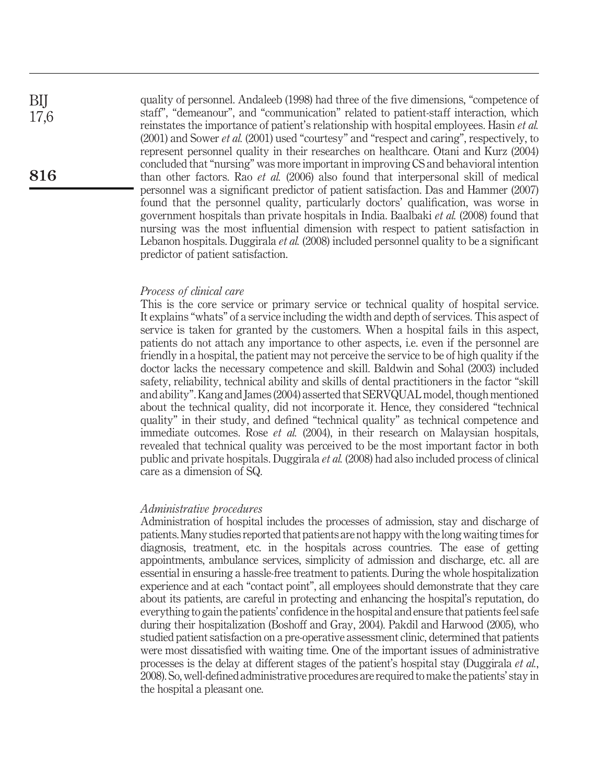quality of personnel. Andaleeb (1998) had three of the five dimensions, "competence of staff", "demeanour", and "communication" related to patient-staff interaction, which reinstates the importance of patient's relationship with hospital employees. Hasin *et al.* (2001) and Sower *et al.* (2001) used "courtesy" and "respect and caring", respectively, to represent personnel quality in their researches on healthcare. Otani and Kurz (2004) concluded that "nursing" was more important in improving CS and behavioral intention than other factors. Rao *et al.* (2006) also found that interpersonal skill of medical personnel was a significant predictor of patient satisfaction. Das and Hammer (2007) found that the personnel quality, particularly doctors' qualification, was worse in government hospitals than private hospitals in India. Baalbaki *et al.* (2008) found that nursing was the most influential dimension with respect to patient satisfaction in Lebanon hospitals. Duggirala *et al.* (2008) included personnel quality to be a significant predictor of patient satisfaction.

# *Process of clinical care*

This is the core service or primary service or technical quality of hospital service. It explains "whats" of a service including the width and depth of services. This aspect of service is taken for granted by the customers. When a hospital fails in this aspect, patients do not attach any importance to other aspects, i.e. even if the personnel are friendly in a hospital, the patient may not perceive the service to be of high quality if the doctor lacks the necessary competence and skill. Baldwin and Sohal (2003) included safety, reliability, technical ability and skills of dental practitioners in the factor "skill and ability". Kang and James (2004) asserted that SERVQUAL model, though mentioned about the technical quality, did not incorporate it. Hence, they considered "technical quality" in their study, and defined "technical quality" as technical competence and immediate outcomes. Rose *et al.* (2004), in their research on Malaysian hospitals, revealed that technical quality was perceived to be the most important factor in both public and private hospitals. Duggirala *et al.* (2008) had also included process of clinical care as a dimension of SQ.

#### *Administrative procedures*

Administration of hospital includes the processes of admission, stay and discharge of patients. Many studies reported that patients are not happy with the long waiting times for diagnosis, treatment, etc. in the hospitals across countries. The ease of getting appointments, ambulance services, simplicity of admission and discharge, etc. all are essential in ensuring a hassle-free treatment to patients. During the whole hospitalization experience and at each "contact point", all employees should demonstrate that they care about its patients, are careful in protecting and enhancing the hospital's reputation, do everything to gain the patients' confidence in the hospital and ensure that patients feel safe during their hospitalization (Boshoff and Gray, 2004). Pakdil and Harwood (2005), who studied patient satisfaction on a pre-operative assessment clinic, determined that patients were most dissatisfied with waiting time. One of the important issues of administrative processes is the delay at different stages of the patient's hospital stay (Duggirala *et al.*, 2008). So, well-defined administrative procedures are required to make the patients' stay in the hospital a pleasant one.

BIJ 17,6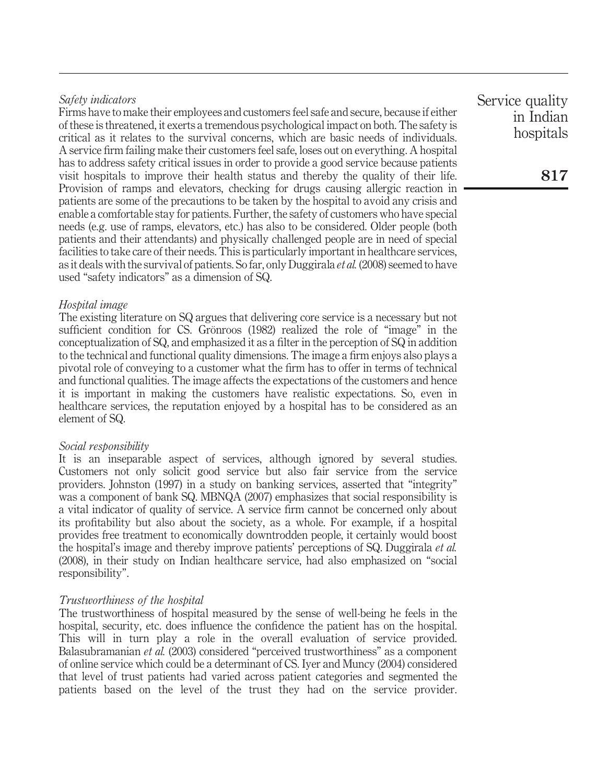# *Safety indicators*

Firms have to make their employees and customers feel safe and secure, because if either of these is threatened, it exerts a tremendous psychological impact on both. The safety is critical as it relates to the survival concerns, which are basic needs of individuals. A service firm failing make their customers feel safe, loses out on everything. A hospital has to address safety critical issues in order to provide a good service because patients visit hospitals to improve their health status and thereby the quality of their life. Provision of ramps and elevators, checking for drugs causing allergic reaction in patients are some of the precautions to be taken by the hospital to avoid any crisis and enable a comfortable stay for patients. Further, the safety of customers who have special needs (e.g. use of ramps, elevators, etc.) has also to be considered. Older people (both patients and their attendants) and physically challenged people are in need of special facilities to take care of their needs. This is particularly important in healthcare services, as it deals with the survival of patients. So far, only Duggirala *et al.* (2008) seemed to have used "safety indicators" as a dimension of SQ.

# *Hospital image*

The existing literature on SQ argues that delivering core service is a necessary but not sufficient condition for CS. Grönroos (1982) realized the role of "image" in the conceptualization of SQ, and emphasized it as a filter in the perception of SQ in addition to the technical and functional quality dimensions. The image a firm enjoys also plays a pivotal role of conveying to a customer what the firm has to offer in terms of technical and functional qualities. The image affects the expectations of the customers and hence it is important in making the customers have realistic expectations. So, even in healthcare services, the reputation enjoyed by a hospital has to be considered as an element of SQ.

# *Social responsibility*

It is an inseparable aspect of services, although ignored by several studies. Customers not only solicit good service but also fair service from the service providers. Johnston (1997) in a study on banking services, asserted that "integrity" was a component of bank SQ. MBNQA (2007) emphasizes that social responsibility is a vital indicator of quality of service. A service firm cannot be concerned only about its profitability but also about the society, as a whole. For example, if a hospital provides free treatment to economically downtrodden people, it certainly would boost the hospital's image and thereby improve patients' perceptions of SQ. Duggirala *et al.* (2008), in their study on Indian healthcare service, had also emphasized on "social responsibility".

# *Trustworthiness of the hospital*

The trustworthiness of hospital measured by the sense of well-being he feels in the hospital, security, etc. does influence the confidence the patient has on the hospital. This will in turn play a role in the overall evaluation of service provided. Balasubramanian *et al.* (2003) considered "perceived trustworthiness" as a component of online service which could be a determinant of CS. Iyer and Muncy (2004) considered that level of trust patients had varied across patient categories and segmented the patients based on the level of the trust they had on the service provider.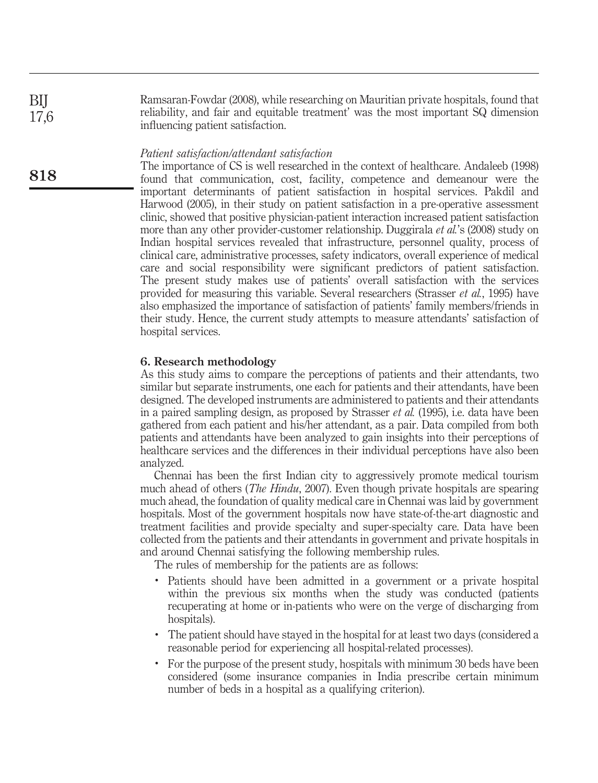Ramsaran-Fowdar (2008), while researching on Mauritian private hospitals, found that reliability, and fair and equitable treatment' was the most important SQ dimension influencing patient satisfaction.

#### *Patient satisfaction/attendant satisfaction*

BIJ 17,6

818

The importance of CS is well researched in the context of healthcare. Andaleeb (1998) found that communication, cost, facility, competence and demeanour were the important determinants of patient satisfaction in hospital services. Pakdil and Harwood (2005), in their study on patient satisfaction in a pre-operative assessment clinic, showed that positive physician-patient interaction increased patient satisfaction more than any other provider-customer relationship. Duggirala *et al.*'s (2008) study on Indian hospital services revealed that infrastructure, personnel quality, process of clinical care, administrative processes, safety indicators, overall experience of medical care and social responsibility were significant predictors of patient satisfaction. The present study makes use of patients' overall satisfaction with the services provided for measuring this variable. Several researchers (Strasser *et al.*, 1995) have also emphasized the importance of satisfaction of patients' family members/friends in their study. Hence, the current study attempts to measure attendants' satisfaction of hospital services.

#### 6. Research methodology

As this study aims to compare the perceptions of patients and their attendants, two similar but separate instruments, one each for patients and their attendants, have been designed. The developed instruments are administered to patients and their attendants in a paired sampling design, as proposed by Strasser *et al.* (1995), i.e. data have been gathered from each patient and his/her attendant, as a pair. Data compiled from both patients and attendants have been analyzed to gain insights into their perceptions of healthcare services and the differences in their individual perceptions have also been analyzed.

Chennai has been the first Indian city to aggressively promote medical tourism much ahead of others (*The Hindu*, 2007). Even though private hospitals are spearing much ahead, the foundation of quality medical care in Chennai was laid by government hospitals. Most of the government hospitals now have state-of-the-art diagnostic and treatment facilities and provide specialty and super-specialty care. Data have been collected from the patients and their attendants in government and private hospitals in and around Chennai satisfying the following membership rules.

The rules of membership for the patients are as follows:

- . Patients should have been admitted in a government or a private hospital within the previous six months when the study was conducted (patients recuperating at home or in-patients who were on the verge of discharging from hospitals).
- . The patient should have stayed in the hospital for at least two days (considered a reasonable period for experiencing all hospital-related processes).
- . For the purpose of the present study, hospitals with minimum 30 beds have been considered (some insurance companies in India prescribe certain minimum number of beds in a hospital as a qualifying criterion).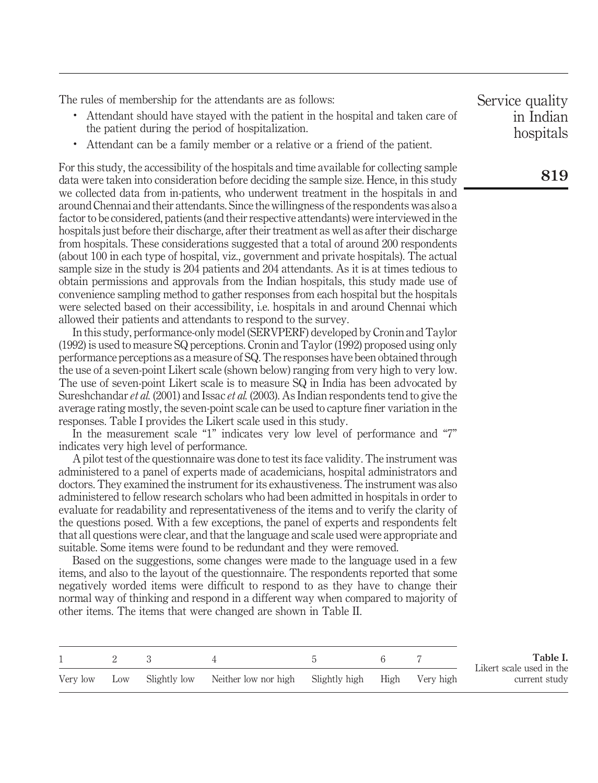The rules of membership for the attendants are as follows:

- . Attendant should have stayed with the patient in the hospital and taken care of the patient during the period of hospitalization.
- . Attendant can be a family member or a relative or a friend of the patient.

For this study, the accessibility of the hospitals and time available for collecting sample data were taken into consideration before deciding the sample size. Hence, in this study we collected data from in-patients, who underwent treatment in the hospitals in and around Chennai and their attendants. Since the willingness of the respondents was also a factor to be considered, patients (and their respective attendants) were interviewed in the hospitals just before their discharge, after their treatment as well as after their discharge from hospitals. These considerations suggested that a total of around 200 respondents (about 100 in each type of hospital, viz., government and private hospitals). The actual sample size in the study is 204 patients and 204 attendants. As it is at times tedious to obtain permissions and approvals from the Indian hospitals, this study made use of convenience sampling method to gather responses from each hospital but the hospitals were selected based on their accessibility, i.e. hospitals in and around Chennai which allowed their patients and attendants to respond to the survey.

In this study, performance-only model (SERVPERF) developed by Cronin and Taylor (1992) is used to measure SQ perceptions. Cronin and Taylor (1992) proposed using only performance perceptions as a measure of SQ. The responses have been obtained through the use of a seven-point Likert scale (shown below) ranging from very high to very low. The use of seven-point Likert scale is to measure SQ in India has been advocated by Sureshchandar *et al.* (2001) and Issac *et al.* (2003). As Indian respondents tend to give the average rating mostly, the seven-point scale can be used to capture finer variation in the responses. Table I provides the Likert scale used in this study.

In the measurement scale "1" indicates very low level of performance and "7" indicates very high level of performance.

A pilot test of the questionnaire was done to test its face validity. The instrument was administered to a panel of experts made of academicians, hospital administrators and doctors. They examined the instrument for its exhaustiveness. The instrument was also administered to fellow research scholars who had been admitted in hospitals in order to evaluate for readability and representativeness of the items and to verify the clarity of the questions posed. With a few exceptions, the panel of experts and respondents felt that all questions were clear, and that the language and scale used were appropriate and suitable. Some items were found to be redundant and they were removed.

Based on the suggestions, some changes were made to the language used in a few items, and also to the layout of the questionnaire. The respondents reported that some negatively worded items were difficult to respond to as they have to change their normal way of thinking and respond in a different way when compared to majority of other items. The items that were changed are shown in Table II.

|  |                                                                             |  | Table I.<br>Likert scale used in the |
|--|-----------------------------------------------------------------------------|--|--------------------------------------|
|  | Very low Low Slightly low Neither low nor high Slightly high High Very high |  | current study                        |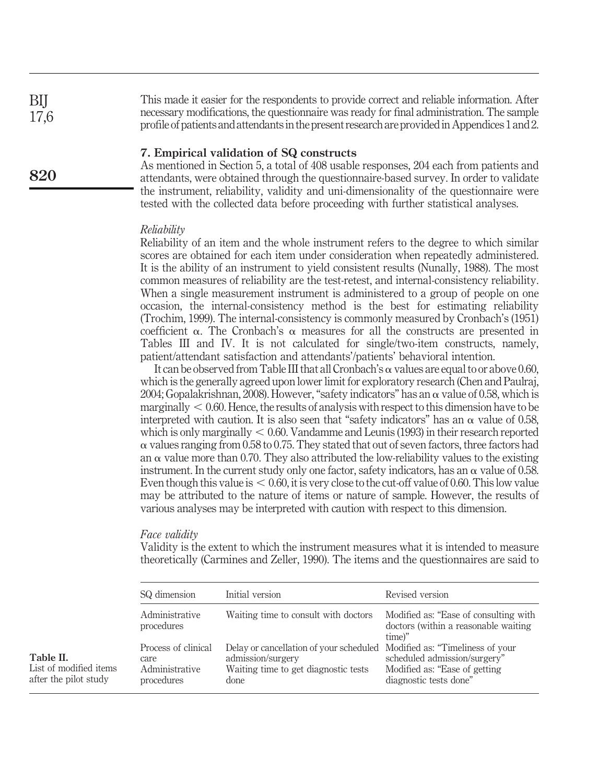BIJ 17,6

820

This made it easier for the respondents to provide correct and reliable information. After necessary modifications, the questionnaire was ready for final administration. The sample profile of patients and attendants in the present research are provided in Appendices 1 and 2.

#### 7. Empirical validation of SQ constructs

As mentioned in Section 5, a total of 408 usable responses, 204 each from patients and attendants, were obtained through the questionnaire-based survey. In order to validate the instrument, reliability, validity and uni-dimensionality of the questionnaire were tested with the collected data before proceeding with further statistical analyses.

#### *Reliability*

Reliability of an item and the whole instrument refers to the degree to which similar scores are obtained for each item under consideration when repeatedly administered. It is the ability of an instrument to yield consistent results (Nunally, 1988). The most common measures of reliability are the test-retest, and internal-consistency reliability. When a single measurement instrument is administered to a group of people on one occasion, the internal-consistency method is the best for estimating reliability (Trochim, 1999). The internal-consistency is commonly measured by Cronbach's (1951) coefficient  $\alpha$ . The Cronbach's  $\alpha$  measures for all the constructs are presented in Tables III and IV. It is not calculated for single/two-item constructs, namely, patient/attendant satisfaction and attendants'/patients' behavioral intention.

It can be observed from Table III that all Cronbach's  $\alpha$  values are equal to or above 0.60, which is the generally agreed upon lower limit for exploratory research (Chen and Paulraj, 2004; Gopalakrishnan, 2008). However, "safety indicators" has an  $\alpha$  value of 0.58, which is marginally  $< 0.60$ . Hence, the results of analysis with respect to this dimension have to be interpreted with caution. It is also seen that "safety indicators" has an  $\alpha$  value of 0.58, which is only marginally  $< 0.60$ . Vandamme and Leunis (1993) in their research reported  $\alpha$  values ranging from 0.58 to 0.75. They stated that out of seven factors, three factors had an  $\alpha$  value more than 0.70. They also attributed the low-reliability values to the existing instrument. In the current study only one factor, safety indicators, has an  $\alpha$  value of 0.58. Even though this value is  $< 0.60$ , it is very close to the cut-off value of 0.60. This low value may be attributed to the nature of items or nature of sample. However, the results of various analyses may be interpreted with caution with respect to this dimension.

#### *Face validity*

Validity is the extent to which the instrument measures what it is intended to measure theoretically (Carmines and Zeller, 1990). The items and the questionnaires are said to

| SQ dimension                                                | Initial version                                                                                                                               | Revised version                                                                         |
|-------------------------------------------------------------|-----------------------------------------------------------------------------------------------------------------------------------------------|-----------------------------------------------------------------------------------------|
| Administrative<br>procedures                                | Waiting time to consult with doctors                                                                                                          | Modified as: "Ease of consulting with<br>doctors (within a reasonable waiting<br>time)" |
| Process of clinical<br>care<br>Administrative<br>procedures | Delay or cancellation of your scheduled Modified as: "Timeliness of your<br>admission/surgery<br>Waiting time to get diagnostic tests<br>done | scheduled admission/surgery"<br>Modified as: "Ease of getting<br>diagnostic tests done" |

Table II. List of modified items after the pilot study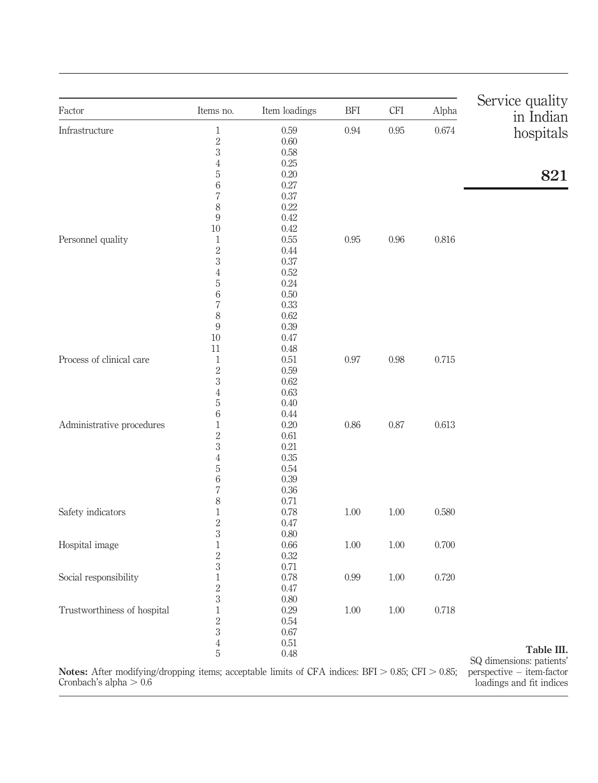| Factor                                                                                                 | Items no.        | Item loadings | <b>BFI</b> | <b>CFI</b> | Alpha | Service quality<br>in Indian                          |
|--------------------------------------------------------------------------------------------------------|------------------|---------------|------------|------------|-------|-------------------------------------------------------|
| Infrastructure                                                                                         | $\mathbf{1}$     | 0.59          | 0.94       | 0.95       | 0.674 | hospitals                                             |
|                                                                                                        | $\overline{2}$   | 0.60          |            |            |       |                                                       |
|                                                                                                        | 3                | 0.58          |            |            |       |                                                       |
|                                                                                                        | 4                | 0.25          |            |            |       |                                                       |
|                                                                                                        | $\overline{5}$   | $0.20\,$      |            |            |       | 821                                                   |
|                                                                                                        | $\boldsymbol{6}$ | 0.27          |            |            |       |                                                       |
|                                                                                                        | $\sqrt{ }$       | 0.37          |            |            |       |                                                       |
|                                                                                                        | 8                | 0.22          |            |            |       |                                                       |
|                                                                                                        |                  |               |            |            |       |                                                       |
|                                                                                                        | $\overline{9}$   | 0.42          |            |            |       |                                                       |
|                                                                                                        | 10               | 0.42          |            |            |       |                                                       |
| Personnel quality                                                                                      | $\mathbf 1$      | 0.55          | $0.95\,$   | $0.96\,$   | 0.816 |                                                       |
|                                                                                                        | $\overline{2}$   | 0.44          |            |            |       |                                                       |
|                                                                                                        | 3                | 0.37          |            |            |       |                                                       |
|                                                                                                        | $\overline{4}$   | 0.52          |            |            |       |                                                       |
|                                                                                                        | $\overline{5}$   | 0.24          |            |            |       |                                                       |
|                                                                                                        | $\boldsymbol{6}$ | 0.50          |            |            |       |                                                       |
|                                                                                                        | $\sqrt{ }$       | 0.33          |            |            |       |                                                       |
|                                                                                                        | 8                | 0.62          |            |            |       |                                                       |
|                                                                                                        | 9                | 0.39          |            |            |       |                                                       |
|                                                                                                        | $10$             | 0.47          |            |            |       |                                                       |
|                                                                                                        | 11               | 0.48          |            |            |       |                                                       |
| Process of clinical care                                                                               | $\mathbf{1}$     | 0.51          | 0.97       | 0.98       | 0.715 |                                                       |
|                                                                                                        | $\overline{2}$   | 0.59          |            |            |       |                                                       |
|                                                                                                        | 3                | 0.62          |            |            |       |                                                       |
|                                                                                                        | $\overline{4}$   | 0.63          |            |            |       |                                                       |
|                                                                                                        | $\overline{5}$   | 0.40          |            |            |       |                                                       |
|                                                                                                        | 6                | 0.44          |            |            |       |                                                       |
| Administrative procedures                                                                              | $\mathbf{1}$     | 0.20          | 0.86       | 0.87       | 0.613 |                                                       |
|                                                                                                        | $\overline{2}$   | 0.61          |            |            |       |                                                       |
|                                                                                                        |                  | 0.21          |            |            |       |                                                       |
|                                                                                                        | 3                |               |            |            |       |                                                       |
|                                                                                                        | $\overline{4}$   | 0.35          |            |            |       |                                                       |
|                                                                                                        | $\overline{5}$   | 0.54          |            |            |       |                                                       |
|                                                                                                        | $\boldsymbol{6}$ | 0.39          |            |            |       |                                                       |
|                                                                                                        | 7                | 0.36          |            |            |       |                                                       |
|                                                                                                        | 8                | 0.71          |            |            |       |                                                       |
| Safety indicators                                                                                      | $\mathbf 1$      | 0.78          | 1.00       | 1.00       | 0.580 |                                                       |
|                                                                                                        | $\overline{2}$   | 0.47          |            |            |       |                                                       |
|                                                                                                        | 3                | $0.80\,$      |            |            |       |                                                       |
| Hospital image                                                                                         | $\,1$            | 0.66          | $1.00\,$   | $1.00\,$   | 0.700 |                                                       |
|                                                                                                        | $\overline{2}$   | 0.32          |            |            |       |                                                       |
|                                                                                                        | 3                | 0.71          |            |            |       |                                                       |
| Social responsibility                                                                                  | $\mathbf{1}$     | 0.78          | 0.99       | 1.00       | 0.720 |                                                       |
|                                                                                                        | $\overline{2}$   | 0.47          |            |            |       |                                                       |
|                                                                                                        | 3                | $0.80\,$      |            |            |       |                                                       |
| Trustworthiness of hospital                                                                            | $\mathbf{1}$     | 0.29          | 1.00       | $1.00\,$   | 0.718 |                                                       |
|                                                                                                        | $\overline{2}$   | 0.54          |            |            |       |                                                       |
|                                                                                                        | 3                | 0.67          |            |            |       |                                                       |
|                                                                                                        | $\overline{4}$   | 0.51          |            |            |       |                                                       |
|                                                                                                        | 5                | 0.48          |            |            |       | Table III.                                            |
| Notes: After modifying/dropping items; acceptable limits of CFA indices: BFI $> 0.85$ ; CFI $> 0.85$ ; |                  |               |            |            |       | SQ dimensions: patients'<br>perspective - item-factor |

Cronbach's alpha  $> 0.6$ 

loadings and fit indices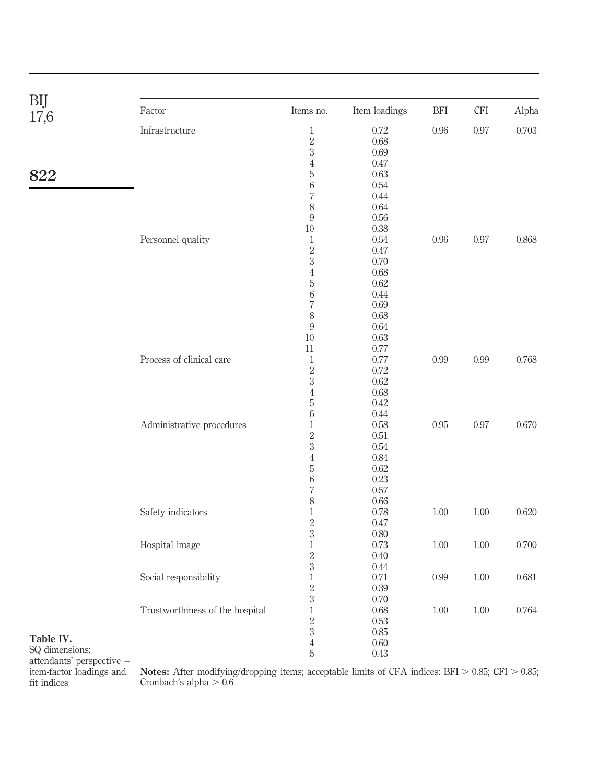| BIJ<br>17,6                             | Factor                                                                                                                                    | Items no.                      | Item loadings | $\operatorname{BFI}$ | $\mbox{CFI}$ | Alpha |
|-----------------------------------------|-------------------------------------------------------------------------------------------------------------------------------------------|--------------------------------|---------------|----------------------|--------------|-------|
|                                         | Infrastructure                                                                                                                            | $\mathbf{1}$<br>$\overline{c}$ | 0.72<br>0.68  | 0.96                 | 0.97         | 0.703 |
|                                         |                                                                                                                                           | 3                              | 0.69          |                      |              |       |
|                                         |                                                                                                                                           | $\overline{4}$                 | 0.47          |                      |              |       |
| 822                                     |                                                                                                                                           | $\mathbf 5$                    | 0.63          |                      |              |       |
|                                         |                                                                                                                                           | $\,$ 6 $\,$                    | 0.54          |                      |              |       |
|                                         |                                                                                                                                           | $\sqrt{2}$                     | 0.44          |                      |              |       |
|                                         |                                                                                                                                           | 8                              | 0.64          |                      |              |       |
|                                         |                                                                                                                                           | $\boldsymbol{9}$               | 0.56          |                      |              |       |
|                                         |                                                                                                                                           | 10                             | 0.38          |                      |              |       |
|                                         | Personnel quality                                                                                                                         | $\mathbf{1}$                   | 0.54          | 0.96                 | 0.97         | 0.868 |
|                                         |                                                                                                                                           | $\overline{2}$                 | 0.47          |                      |              |       |
|                                         |                                                                                                                                           | 3                              | 0.70          |                      |              |       |
|                                         |                                                                                                                                           | $\overline{4}$                 | 0.68          |                      |              |       |
|                                         |                                                                                                                                           | $\mathbf 5$                    | 0.62          |                      |              |       |
|                                         |                                                                                                                                           | $\,$ 6 $\,$                    | 0.44          |                      |              |       |
|                                         |                                                                                                                                           | $\overline{7}$                 | 0.69          |                      |              |       |
|                                         |                                                                                                                                           | 8                              | 0.68          |                      |              |       |
|                                         |                                                                                                                                           | $\overline{9}$                 | 0.64          |                      |              |       |
|                                         |                                                                                                                                           | 10                             | $0.63\,$      |                      |              |       |
|                                         |                                                                                                                                           | 11                             | 0.77          |                      |              |       |
|                                         | Process of clinical care                                                                                                                  | $\mathbf{1}$                   | 0.77          | 0.99                 | $0.99\,$     | 0.768 |
|                                         |                                                                                                                                           | $\overline{2}$                 | 0.72          |                      |              |       |
|                                         |                                                                                                                                           | 3                              | 0.62          |                      |              |       |
|                                         |                                                                                                                                           | $\overline{4}$                 | 0.68          |                      |              |       |
|                                         |                                                                                                                                           | $\overline{5}$                 | 0.42          |                      |              |       |
|                                         |                                                                                                                                           | $\,$ 6 $\,$                    | 0.44          |                      |              |       |
|                                         | Administrative procedures                                                                                                                 | $\,1$                          | 0.58          | 0.95                 | 0.97         | 0.670 |
|                                         |                                                                                                                                           | $\overline{2}$                 | $0.51\,$      |                      |              |       |
|                                         |                                                                                                                                           | 3                              | 0.54          |                      |              |       |
|                                         |                                                                                                                                           | $\overline{4}$                 | 0.84          |                      |              |       |
|                                         |                                                                                                                                           | 5                              | 0.62          |                      |              |       |
|                                         |                                                                                                                                           | $\boldsymbol{6}$               | 0.23          |                      |              |       |
|                                         |                                                                                                                                           | $\overline{7}$                 | 0.57          |                      |              |       |
|                                         |                                                                                                                                           | 8                              | 0.66          |                      |              |       |
|                                         | Safety indicators                                                                                                                         | $\,1$                          | $0.78\,$      | $1.00\,$             | 1.00         | 0.620 |
|                                         |                                                                                                                                           | $\overline{2}$                 | 0.47          |                      |              |       |
|                                         |                                                                                                                                           | 3                              | 0.80          |                      |              |       |
|                                         | Hospital image                                                                                                                            | $\,1$                          | $0.73\,$      | 1.00                 | 1.00         | 0.700 |
|                                         |                                                                                                                                           | $\sqrt{2}$                     | 0.40          |                      |              |       |
|                                         |                                                                                                                                           | 3                              | 0.44          |                      |              |       |
|                                         | Social responsibility                                                                                                                     | 1                              | 0.71          | 0.99                 | $1.00\,$     | 0.681 |
|                                         |                                                                                                                                           | $\overline{2}$                 | 0.39          |                      |              |       |
|                                         |                                                                                                                                           | 3                              | $0.70\,$      |                      |              |       |
|                                         | Trustworthiness of the hospital                                                                                                           | $\mathbf{1}$                   | 0.68          | 1.00                 | 1.00         | 0.764 |
|                                         |                                                                                                                                           | $\boldsymbol{2}$               | 0.53          |                      |              |       |
| Table IV.                               |                                                                                                                                           | 3                              | 0.85          |                      |              |       |
| SQ dimensions:                          |                                                                                                                                           | $\overline{4}$                 | $0.60\,$      |                      |              |       |
| attendants' perspective -               |                                                                                                                                           | 5                              | 0.43          |                      |              |       |
| item-factor loadings and<br>fit indices | <b>Notes:</b> After modifying/dropping items; acceptable limits of CFA indices: $BFI > 0.85$ ; CFI $> 0.85$ ;<br>Cronbach's alpha $> 0.6$ |                                |               |                      |              |       |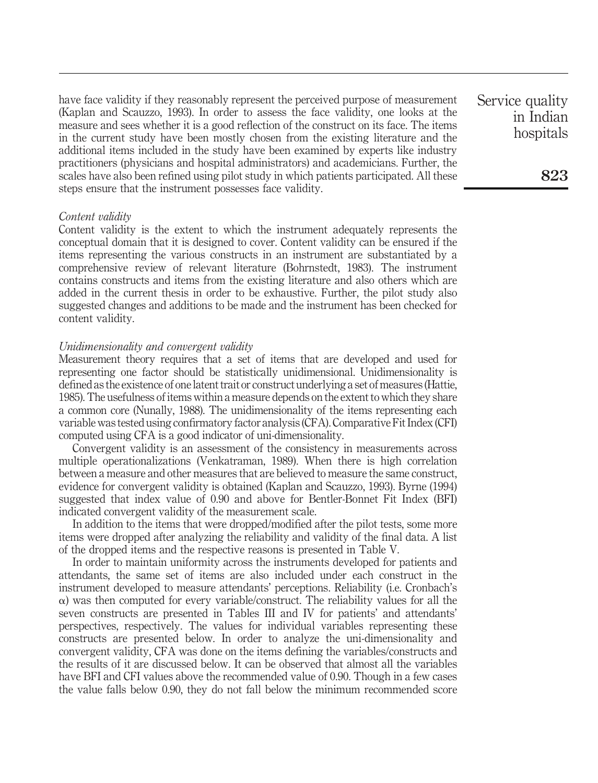have face validity if they reasonably represent the perceived purpose of measurement (Kaplan and Scauzzo, 1993). In order to assess the face validity, one looks at the measure and sees whether it is a good reflection of the construct on its face. The items in the current study have been mostly chosen from the existing literature and the additional items included in the study have been examined by experts like industry practitioners (physicians and hospital administrators) and academicians. Further, the scales have also been refined using pilot study in which patients participated. All these steps ensure that the instrument possesses face validity.

#### *Content validity*

Content validity is the extent to which the instrument adequately represents the conceptual domain that it is designed to cover. Content validity can be ensured if the items representing the various constructs in an instrument are substantiated by a comprehensive review of relevant literature (Bohrnstedt, 1983). The instrument contains constructs and items from the existing literature and also others which are added in the current thesis in order to be exhaustive. Further, the pilot study also suggested changes and additions to be made and the instrument has been checked for content validity.

#### *Unidimensionality and convergent validity*

Measurement theory requires that a set of items that are developed and used for representing one factor should be statistically unidimensional. Unidimensionality is defined as the existence of one latent trait or construct underlying a set of measures (Hattie, 1985). The usefulness of items within a measure depends on the extent to which they share a common core (Nunally, 1988). The unidimensionality of the items representing each variable was tested using confirmatory factor analysis (CFA). Comparative Fit Index (CFI) computed using CFA is a good indicator of uni-dimensionality.

Convergent validity is an assessment of the consistency in measurements across multiple operationalizations (Venkatraman, 1989). When there is high correlation between a measure and other measures that are believed to measure the same construct, evidence for convergent validity is obtained (Kaplan and Scauzzo, 1993). Byrne (1994) suggested that index value of 0.90 and above for Bentler-Bonnet Fit Index (BFI) indicated convergent validity of the measurement scale.

In addition to the items that were dropped/modified after the pilot tests, some more items were dropped after analyzing the reliability and validity of the final data. A list of the dropped items and the respective reasons is presented in Table V.

In order to maintain uniformity across the instruments developed for patients and attendants, the same set of items are also included under each construct in the instrument developed to measure attendants' perceptions. Reliability (i.e. Cronbach's  $\alpha$ ) was then computed for every variable/construct. The reliability values for all the seven constructs are presented in Tables III and IV for patients' and attendants' perspectives, respectively. The values for individual variables representing these constructs are presented below. In order to analyze the uni-dimensionality and convergent validity, CFA was done on the items defining the variables/constructs and the results of it are discussed below. It can be observed that almost all the variables have BFI and CFI values above the recommended value of 0.90. Though in a few cases the value falls below 0.90, they do not fall below the minimum recommended score Service quality in Indian hospitals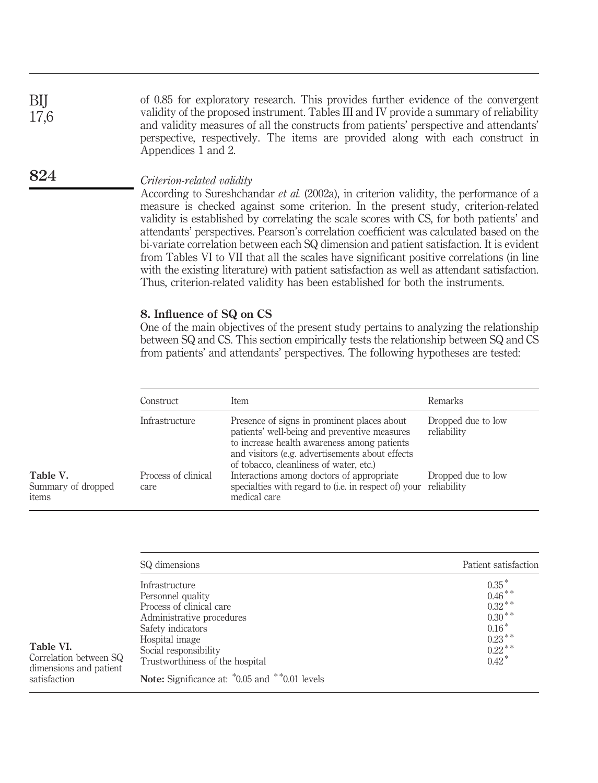of 0.85 for exploratory research. This provides further evidence of the convergent validity of the proposed instrument. Tables III and IV provide a summary of reliability and validity measures of all the constructs from patients' perspective and attendants' perspective, respectively. The items are provided along with each construct in Appendices 1 and 2.

# *Criterion-related validity*

According to Sureshchandar *et al.* (2002a), in criterion validity, the performance of a measure is checked against some criterion. In the present study, criterion-related validity is established by correlating the scale scores with CS, for both patients' and attendants' perspectives. Pearson's correlation coefficient was calculated based on the bi-variate correlation between each SQ dimension and patient satisfaction. It is evident from Tables VI to VII that all the scales have significant positive correlations (in line with the existing literature) with patient satisfaction as well as attendant satisfaction. Thus, criterion-related validity has been established for both the instruments.

#### 8. Influence of SQ on CS

One of the main objectives of the present study pertains to analyzing the relationship between SQ and CS. This section empirically tests the relationship between SQ and CS from patients' and attendants' perspectives. The following hypotheses are tested:

|       | Construct                   | <b>Item</b>                                                                                                                                                                                                                               | <b>Remarks</b>                    |
|-------|-----------------------------|-------------------------------------------------------------------------------------------------------------------------------------------------------------------------------------------------------------------------------------------|-----------------------------------|
|       | Infrastructure              | Presence of signs in prominent places about<br>patients' well-being and preventive measures<br>to increase health awareness among patients<br>and visitors (e.g. advertisements about effects)<br>of tobacco, cleanliness of water, etc.) | Dropped due to low<br>reliability |
| opped | Process of clinical<br>care | Interactions among doctors of appropriate<br>specialties with regard to (i.e. in respect of) your reliability<br>medical care                                                                                                             | Dropped due to low                |

Table V. Summary of dro items

BIJ 17,6

824

|                                                                               | SQ dimensions                                                                                                                                                                                                                                     | Patient satisfaction                                                                        |
|-------------------------------------------------------------------------------|---------------------------------------------------------------------------------------------------------------------------------------------------------------------------------------------------------------------------------------------------|---------------------------------------------------------------------------------------------|
| Table VI.<br>Correlation between SQ<br>dimensions and patient<br>satisfaction | Infrastructure<br>Personnel quality<br>Process of clinical care<br>Administrative procedures<br>Safety indicators<br>Hospital image<br>Social responsibility<br>Trustworthiness of the hospital<br>Note: Significance at: *0.05 and **0.01 levels | $0.35*$<br>$0.46**$<br>$0.32**$<br>$0.30**$<br>$0.16*$<br>$0.23***$<br>$0.22$ **<br>$0.42*$ |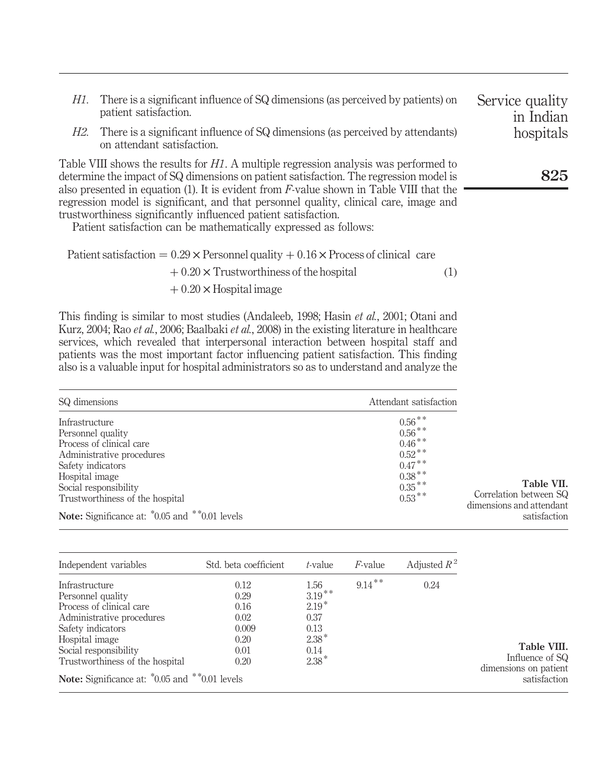| H1. There is a significant influence of SQ dimensions (as perceived by patients) on | Service quality |
|-------------------------------------------------------------------------------------|-----------------|
| patient satisfaction.                                                               | in Indian       |

*H2.* There is a significant influence of SQ dimensions (as perceived by attendants) on attendant satisfaction.

Table VIII shows the results for *H1*. A multiple regression analysis was performed to determine the impact of SQ dimensions on patient satisfaction. The regression model is also presented in equation (1). It is evident from *F*-value shown in Table VIII that the regression model is significant, and that personnel quality, clinical care, image and trustworthiness significantly influenced patient satisfaction.

Patient satisfaction can be mathematically expressed as follows:

Patient satisfaction  $= 0.29 \times$  Personnel quality  $+ 0.16 \times$  Process of clinical care  $+0.20 \times$  Trustworthiness of the hospital  $+0.20 \times$  Hospital image  $(1)$ 

This finding is similar to most studies (Andaleeb, 1998; Hasin *et al.*, 2001; Otani and Kurz, 2004; Rao *et al.*, 2006; Baalbaki *et al.*, 2008) in the existing literature in healthcare services, which revealed that interpersonal interaction between hospital staff and patients was the most important factor influencing patient satisfaction. This finding also is a valuable input for hospital administrators so as to understand and analyze the

| SQ dimensions                                  | Attendant satisfaction |
|------------------------------------------------|------------------------|
| Infrastructure                                 | $0.56***$              |
| Personnel quality                              | $0.56***$              |
| Process of clinical care                       | $0.46**$               |
| Administrative procedures                      | $0.52$ **              |
| Safety indicators                              | $0.47***$              |
| Hospital image                                 | $0.38***$              |
| Social responsibility                          | $0.35***$              |
| Trustworthiness of the hospital                | $0.53***$              |
| Note: Significance at: *0.05 and **0.01 levels |                        |

| Independent variables                                                                                                                                                                                                                                | Std. beta coefficient                                         | t-value                                                                    | $F$ -value | Adjusted $R^2$ |                                                                         |
|------------------------------------------------------------------------------------------------------------------------------------------------------------------------------------------------------------------------------------------------------|---------------------------------------------------------------|----------------------------------------------------------------------------|------------|----------------|-------------------------------------------------------------------------|
| Infrastructure<br>Personnel quality<br>Process of clinical care<br>Administrative procedures<br>Safety indicators<br>Hospital image<br>Social responsibility<br>Trustworthiness of the hospital<br>Note: Significance at: $*0.05$ and $*0.01$ levels | 0.12<br>0.29<br>0.16<br>0.02<br>0.009<br>0.20<br>0.01<br>0.20 | 1.56<br>$3.19***$<br>$2.19*$<br>0.37<br>0.13<br>$2.38*$<br>0.14<br>$2.38*$ | $9.14***$  | 0.24           | Table VIII.<br>Influence of SQ<br>dimensions on patient<br>satisfaction |

825

in Indian hospitals

Table VII. Correlation between SQ dimensions and attendant satisfaction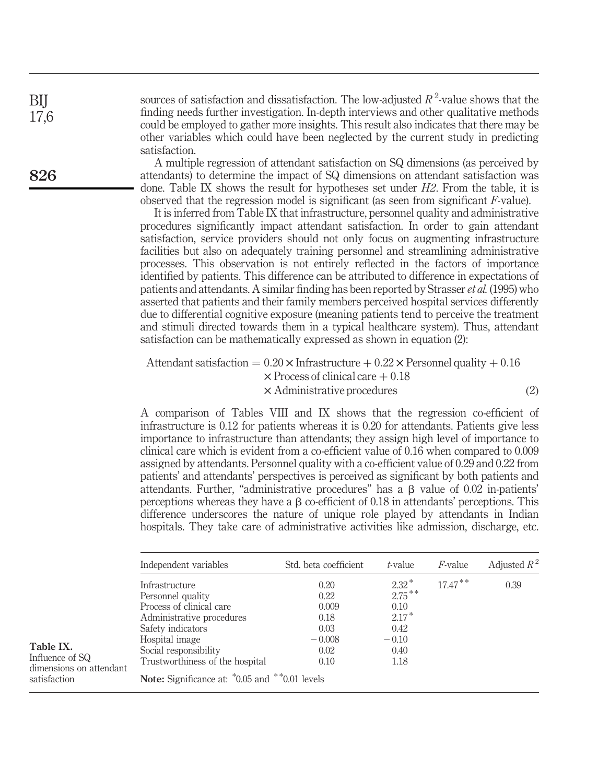sources of satisfaction and dissatisfaction. The low-adjusted  $R^2$ -value shows that the finding needs further investigation. In-depth interviews and other qualitative methods could be employed to gather more insights. This result also indicates that there may be other variables which could have been neglected by the current study in predicting satisfaction.

A multiple regression of attendant satisfaction on SQ dimensions (as perceived by attendants) to determine the impact of SQ dimensions on attendant satisfaction was done. Table IX shows the result for hypotheses set under *H2*. From the table, it is observed that the regression model is significant (as seen from significant *F*-value).

It is inferred from Table IX that infrastructure, personnel quality and administrative procedures significantly impact attendant satisfaction. In order to gain attendant satisfaction, service providers should not only focus on augmenting infrastructure facilities but also on adequately training personnel and streamlining administrative processes. This observation is not entirely reflected in the factors of importance identified by patients. This difference can be attributed to difference in expectations of patients and attendants. A similar finding has been reported by Strasser *et al.* (1995) who asserted that patients and their family members perceived hospital services differently due to differential cognitive exposure (meaning patients tend to perceive the treatment and stimuli directed towards them in a typical healthcare system). Thus, attendant satisfaction can be mathematically expressed as shown in equation (2):

Attendant satisfaction =  $0.20 \times$  Infrastructure  $+ 0.22 \times$  Personnel quality  $+ 0.16$  $\times$  Process of clinical care  $+0.18$  $\times$  Administrative procedures (2)

A comparison of Tables VIII and IX shows that the regression co-efficient of infrastructure is 0.12 for patients whereas it is 0.20 for attendants. Patients give less importance to infrastructure than attendants; they assign high level of importance to clinical care which is evident from a co-efficient value of 0.16 when compared to 0.009 assigned by attendants. Personnel quality with a co-efficient value of 0.29 and 0.22 from patients' and attendants' perspectives is perceived as significant by both patients and attendants. Further, "administrative procedures" has a  $\beta$  value of 0.02 in-patients' perceptions whereas they have a  $\beta$  co-efficient of 0.18 in attendants' perceptions. This difference underscores the nature of unique role played by attendants in Indian hospitals. They take care of administrative activities like admission, discharge, etc.

|                                                            | Independent variables                                                                                                                                        | Std. beta coefficient                                     | t-value                                                            | $F$ -value | Adjusted $R^2$ |
|------------------------------------------------------------|--------------------------------------------------------------------------------------------------------------------------------------------------------------|-----------------------------------------------------------|--------------------------------------------------------------------|------------|----------------|
| Table IX.                                                  | Infrastructure<br>Personnel quality<br>Process of clinical care<br>Administrative procedures<br>Safety indicators<br>Hospital image<br>Social responsibility | 0.20<br>0.22<br>0.009<br>0.18<br>0.03<br>$-0.008$<br>0.02 | $2.32*$<br>$2.75***$<br>0.10<br>$2.17*$<br>0.42<br>$-0.10$<br>0.40 | $17.47***$ | 0.39           |
| Influence of SQ<br>dimensions on attendant<br>satisfaction | Trustworthiness of the hospital<br>Note: Significance at: *0.05 and **0.01 levels                                                                            | 0.10                                                      | 1.18                                                               |            |                |

826

BIJ 17,6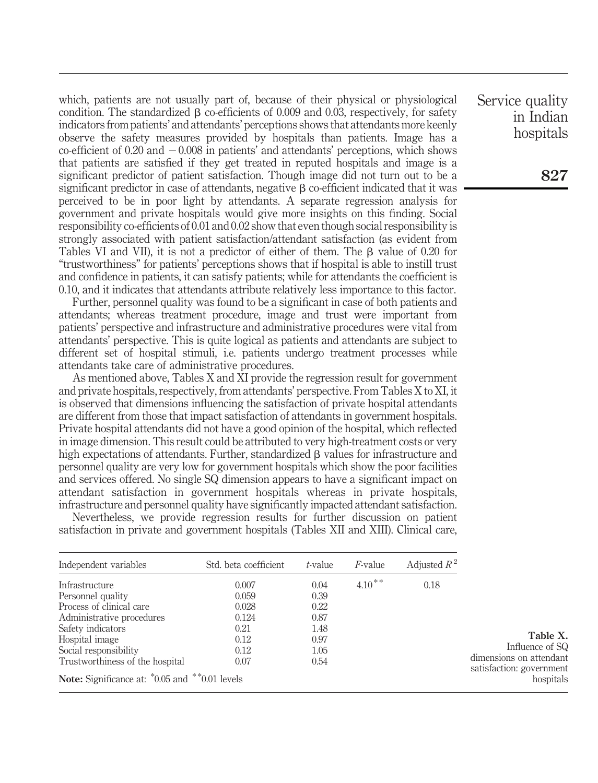which, patients are not usually part of, because of their physical or physiological condition. The standardized  $\beta$  co-efficients of 0.009 and 0.03, respectively, for safety indicators from patients' and attendants' perceptions shows that attendants more keenly observe the safety measures provided by hospitals than patients. Image has a co-efficient of  $0.20$  and  $-0.008$  in patients' and attendants' perceptions, which shows that patients are satisfied if they get treated in reputed hospitals and image is a significant predictor of patient satisfaction. Though image did not turn out to be a significant predictor in case of attendants, negative  $\beta$  co-efficient indicated that it was perceived to be in poor light by attendants. A separate regression analysis for government and private hospitals would give more insights on this finding. Social responsibility co-efficients of 0.01 and 0.02 show that even though social responsibility is strongly associated with patient satisfaction/attendant satisfaction (as evident from Tables VI and VII), it is not a predictor of either of them. The  $\beta$  value of 0.20 for "trustworthiness" for patients' perceptions shows that if hospital is able to instill trust and confidence in patients, it can satisfy patients; while for attendants the coefficient is 0.10, and it indicates that attendants attribute relatively less importance to this factor.

Further, personnel quality was found to be a significant in case of both patients and attendants; whereas treatment procedure, image and trust were important from patients' perspective and infrastructure and administrative procedures were vital from attendants' perspective. This is quite logical as patients and attendants are subject to different set of hospital stimuli, i.e. patients undergo treatment processes while attendants take care of administrative procedures.

As mentioned above, Tables X and XI provide the regression result for government and private hospitals, respectively, from attendants' perspective. From Tables X to XI, it is observed that dimensions influencing the satisfaction of private hospital attendants are different from those that impact satisfaction of attendants in government hospitals. Private hospital attendants did not have a good opinion of the hospital, which reflected in image dimension. This result could be attributed to very high-treatment costs or very high expectations of attendants. Further, standardized  $\beta$  values for infrastructure and personnel quality are very low for government hospitals which show the poor facilities and services offered. No single SQ dimension appears to have a significant impact on attendant satisfaction in government hospitals whereas in private hospitals, infrastructure and personnel quality have significantly impacted attendant satisfaction.

Nevertheless, we provide regression results for further discussion on patient satisfaction in private and government hospitals (Tables XII and XIII). Clinical care,

| Independent variables                          | Std. beta coefficient | t-value | <i>F</i> -value | Adjusted $R^2$ |  |  |
|------------------------------------------------|-----------------------|---------|-----------------|----------------|--|--|
| Infrastructure                                 | 0.007                 | 0.04    | $4.10**$        | 0.18           |  |  |
| Personnel quality                              | 0.059                 | 0.39    |                 |                |  |  |
| Process of clinical care                       | 0.028                 | 0.22    |                 |                |  |  |
| Administrative procedures                      | 0.124                 | 0.87    |                 |                |  |  |
| Safety indicators                              | 0.21                  | 1.48    |                 |                |  |  |
| Hospital image                                 | 0.12                  | 0.97    |                 |                |  |  |
| Social responsibility                          | 0.12                  | 1.05    |                 |                |  |  |
| Trustworthiness of the hospital                | 0.07                  | 0.54    |                 |                |  |  |
| Note: Significance at: *0.05 and **0.01 levels |                       |         |                 |                |  |  |

Service quality in Indian hospitals

Table X. Influence of SQ dimensions on attendant satisfaction: government hospitals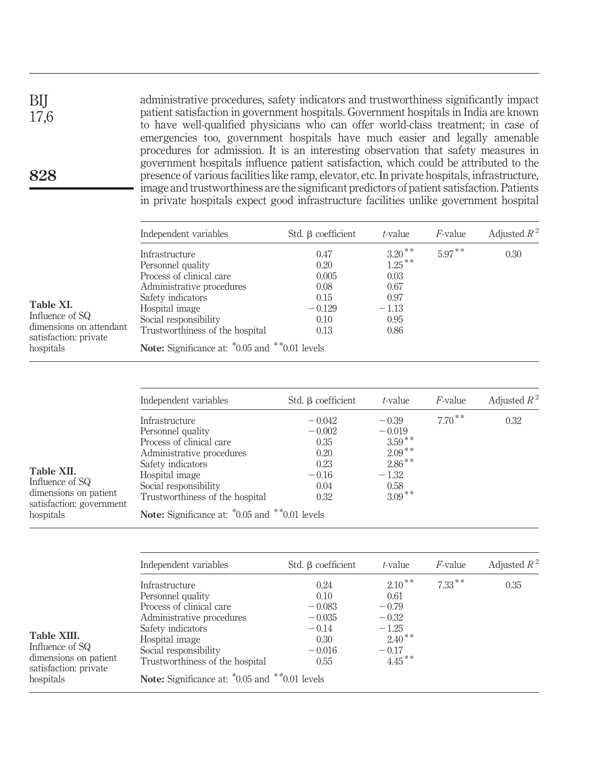administrative procedures, safety indicators and trustworthiness significantly impact patient satisfaction in government hospitals. Government hospitals in India are known to have well-qualified physicians who can offer world-class treatment; in case of emergencies too, government hospitals have much easier and legally amenable procedures for admission. It is an interesting observation that safety measures in government hospitals influence patient satisfaction, which could be attributed to the presence of various facilities like ramp, elevator, etc. In private hospitals, infrastructure, image and trustworthiness are the significant predictors of patient satisfaction. Patients in private hospitals expect good infrastructure facilities unlike government hospital

|                    | Independent variables                          | Std. $\beta$ coefficient | t-value   | <i>F</i> -value | Adjusted $R^2$ |
|--------------------|------------------------------------------------|--------------------------|-----------|-----------------|----------------|
|                    | Infrastructure                                 | 0.47                     | $3.20***$ | $5.97***$       | 0.30           |
|                    | Personnel quality                              | 0.20                     | $1.25***$ |                 |                |
|                    | Process of clinical care                       | 0.005                    | 0.03      |                 |                |
|                    | Administrative procedures                      | 0.08                     | 0.67      |                 |                |
|                    | Safety indicators                              | 0.15                     | 0.97      |                 |                |
|                    | Hospital image                                 | $-0.129$                 | $-1.13$   |                 |                |
|                    | Social responsibility                          | 0.10                     | 0.95      |                 |                |
| attendant<br>ivate | Trustworthiness of the hospital                | 0.13                     | 0.86      |                 |                |
|                    | Note: Significance at: *0.05 and **0.01 levels |                          |           |                 |                |

#### Table XI. Influence of S<sub>G</sub> dimensions on satisfaction: pr hospitals

BIJ 17,6

828

|                     | Independent variables                          | Std. B coefficient | t-value   | <i>F</i> -value | Adjusted $R^2$ |
|---------------------|------------------------------------------------|--------------------|-----------|-----------------|----------------|
|                     | Infrastructure                                 | $-0.042$           | $-0.39$   | $7.70***$       | 0.32           |
|                     | Personnel quality                              | $-0.002$           | $-0.019$  |                 |                |
|                     | Process of clinical care                       | 0.35               | $3.59***$ |                 |                |
|                     | Administrative procedures                      | 0.20               | $2.09***$ |                 |                |
|                     | Safety indicators                              | 0.23               | $2.86***$ |                 |                |
|                     | Hospital image                                 | $-0.16$            | $-1.32$   |                 |                |
|                     | Social responsibility                          | 0.04               | 0.58      |                 |                |
| patient<br>vernment | Trustworthiness of the hospital                | 0.32               | $3.09***$ |                 |                |
|                     | Note: Significance at: *0.05 and **0.01 levels |                    |           |                 |                |

| Table XII.               |
|--------------------------|
| Influence of SQ          |
| dimensions on patient    |
| satisfaction: government |
| hospitals                |

|                                                                                               | Independent variables                                                                                                                                                                                                                             | Std. B coefficient                                                          | t-value                                                                               | $F$ -value | Adjusted $R^2$ |
|-----------------------------------------------------------------------------------------------|---------------------------------------------------------------------------------------------------------------------------------------------------------------------------------------------------------------------------------------------------|-----------------------------------------------------------------------------|---------------------------------------------------------------------------------------|------------|----------------|
| Table XIII.<br>Influence of SQ<br>dimensions on patient<br>satisfaction: private<br>hospitals | Infrastructure<br>Personnel quality<br>Process of clinical care<br>Administrative procedures<br>Safety indicators<br>Hospital image<br>Social responsibility<br>Trustworthiness of the hospital<br>Note: Significance at: *0.05 and **0.01 levels | 0.24<br>0.10<br>$-0.083$<br>$-0.035$<br>$-0.14$<br>0.30<br>$-0.016$<br>0.55 | $2.10**$<br>0.61<br>$-0.79$<br>$-0.32$<br>$-1.25$<br>$2.40**$<br>$-0.17$<br>$4.45***$ | $7.33***$  | 0.35           |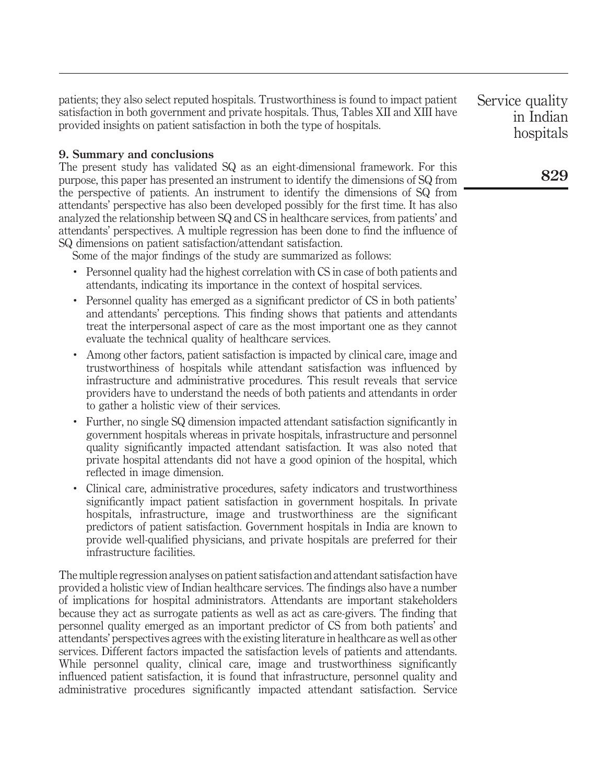patients; they also select reputed hospitals. Trustworthiness is found to impact patient satisfaction in both government and private hospitals. Thus, Tables XII and XIII have provided insights on patient satisfaction in both the type of hospitals.

# 9. Summary and conclusions

The present study has validated SQ as an eight-dimensional framework. For this purpose, this paper has presented an instrument to identify the dimensions of SQ from the perspective of patients. An instrument to identify the dimensions of SQ from attendants' perspective has also been developed possibly for the first time. It has also analyzed the relationship between SQ and CS in healthcare services, from patients' and attendants' perspectives. A multiple regression has been done to find the influence of SQ dimensions on patient satisfaction/attendant satisfaction.

Some of the major findings of the study are summarized as follows:

- . Personnel quality had the highest correlation with CS in case of both patients and attendants, indicating its importance in the context of hospital services.
- . Personnel quality has emerged as a significant predictor of CS in both patients' and attendants' perceptions. This finding shows that patients and attendants treat the interpersonal aspect of care as the most important one as they cannot evaluate the technical quality of healthcare services.
- . Among other factors, patient satisfaction is impacted by clinical care, image and trustworthiness of hospitals while attendant satisfaction was influenced by infrastructure and administrative procedures. This result reveals that service providers have to understand the needs of both patients and attendants in order to gather a holistic view of their services.
- . Further, no single SQ dimension impacted attendant satisfaction significantly in government hospitals whereas in private hospitals, infrastructure and personnel quality significantly impacted attendant satisfaction. It was also noted that private hospital attendants did not have a good opinion of the hospital, which reflected in image dimension.
- . Clinical care, administrative procedures, safety indicators and trustworthiness significantly impact patient satisfaction in government hospitals. In private hospitals, infrastructure, image and trustworthiness are the significant predictors of patient satisfaction. Government hospitals in India are known to provide well-qualified physicians, and private hospitals are preferred for their infrastructure facilities.

The multiple regression analyses on patient satisfaction and attendant satisfaction have provided a holistic view of Indian healthcare services. The findings also have a number of implications for hospital administrators. Attendants are important stakeholders because they act as surrogate patients as well as act as care-givers. The finding that personnel quality emerged as an important predictor of CS from both patients' and attendants' perspectives agrees with the existing literature in healthcare as well as other services. Different factors impacted the satisfaction levels of patients and attendants. While personnel quality, clinical care, image and trustworthiness significantly influenced patient satisfaction, it is found that infrastructure, personnel quality and administrative procedures significantly impacted attendant satisfaction. Service

Service quality in Indian hospitals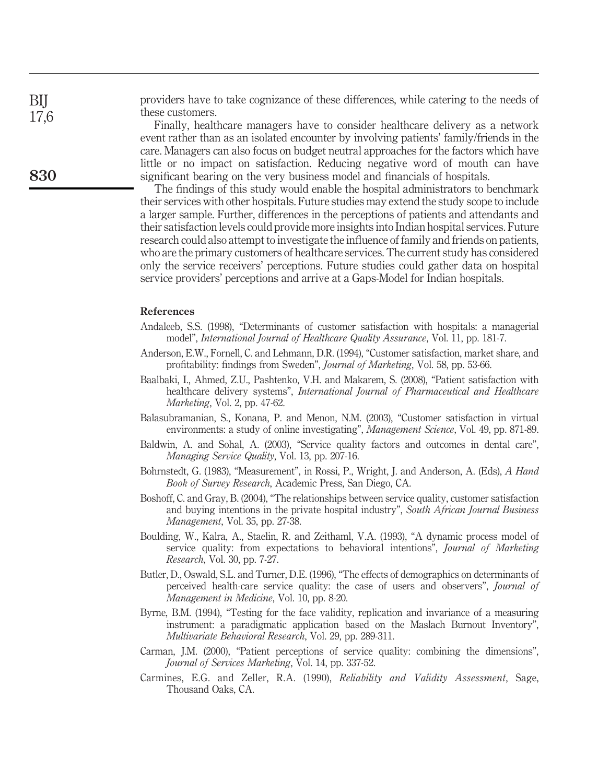providers have to take cognizance of these differences, while catering to the needs of these customers.

Finally, healthcare managers have to consider healthcare delivery as a network event rather than as an isolated encounter by involving patients' family/friends in the care. Managers can also focus on budget neutral approaches for the factors which have little or no impact on satisfaction. Reducing negative word of mouth can have significant bearing on the very business model and financials of hospitals.

The findings of this study would enable the hospital administrators to benchmark their services with other hospitals. Future studies may extend the study scope to include a larger sample. Further, differences in the perceptions of patients and attendants and their satisfaction levels could provide more insights into Indian hospital services. Future research could also attempt to investigate the influence of family and friends on patients, who are the primary customers of healthcare services. The current study has considered only the service receivers' perceptions. Future studies could gather data on hospital service providers' perceptions and arrive at a Gaps-Model for Indian hospitals.

# References

- Andaleeb, S.S. (1998), "Determinants of customer satisfaction with hospitals: a managerial model", *International Journal of Healthcare Quality Assurance*, Vol. 11, pp. 181-7.
- Anderson, E.W., Fornell, C. and Lehmann, D.R. (1994), "Customer satisfaction, market share, and profitability: findings from Sweden", *Journal of Marketing*, Vol. 58, pp. 53-66.
- Baalbaki, I., Ahmed, Z.U., Pashtenko, V.H. and Makarem, S. (2008), "Patient satisfaction with healthcare delivery systems", *International Journal of Pharmaceutical and Healthcare Marketing*, Vol. 2, pp. 47-62.
- Balasubramanian, S., Konana, P. and Menon, N.M. (2003), "Customer satisfaction in virtual environments: a study of online investigating", *Management Science*, Vol. 49, pp. 871-89.
- Baldwin, A. and Sohal, A. (2003), "Service quality factors and outcomes in dental care", *Managing Service Quality*, Vol. 13, pp. 207-16.
- Bohrnstedt, G. (1983), "Measurement", in Rossi, P., Wright, J. and Anderson, A. (Eds), *A Hand Book of Survey Research*, Academic Press, San Diego, CA.
- Boshoff, C. and Gray, B. (2004), "The relationships between service quality, customer satisfaction and buying intentions in the private hospital industry", *South African Journal Business Management*, Vol. 35, pp. 27-38.
- Boulding, W., Kalra, A., Staelin, R. and Zeithaml, V.A. (1993), "A dynamic process model of service quality: from expectations to behavioral intentions", *Journal of Marketing Research*, Vol. 30, pp. 7-27.
- Butler, D., Oswald, S.L. and Turner, D.E. (1996), "The effects of demographics on determinants of perceived health-care service quality: the case of users and observers", *Journal of Management in Medicine*, Vol. 10, pp. 8-20.
- Byrne, B.M. (1994), "Testing for the face validity, replication and invariance of a measuring instrument: a paradigmatic application based on the Maslach Burnout Inventory", *Multivariate Behavioral Research*, Vol. 29, pp. 289-311.
- Carman, J.M. (2000), "Patient perceptions of service quality: combining the dimensions", *Journal of Services Marketing*, Vol. 14, pp. 337-52.
- Carmines, E.G. and Zeller, R.A. (1990), *Reliability and Validity Assessment*, Sage, Thousand Oaks, CA.

BIJ 17,6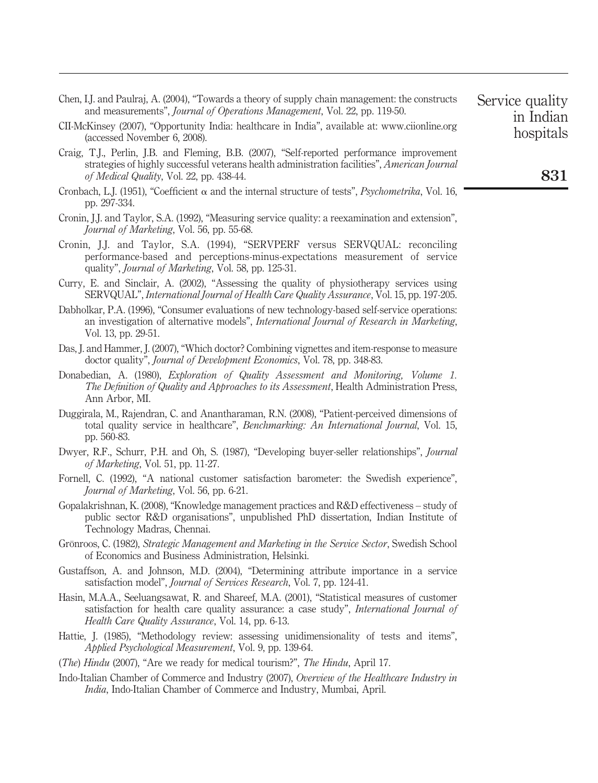- Chen, I.J. and Paulraj, A. (2004), "Towards a theory of supply chain management: the constructs and measurements", *Journal of Operations Management*, Vol. 22, pp. 119-50.
- CII-McKinsey (2007), "Opportunity India: healthcare in India", available at: www.ciionline.org (accessed November 6, 2008).
- Craig, T.J., Perlin, J.B. and Fleming, B.B. (2007), "Self-reported performance improvement strategies of highly successful veterans health administration facilities", *American Journal of Medical Quality*, Vol. 22, pp. 438-44.
- Cronbach, L.J. (1951), "Coefficient a and the internal structure of tests", *Psychometrika*, Vol. 16, pp. 297-334.
- Cronin, J.J. and Taylor, S.A. (1992), "Measuring service quality: a reexamination and extension", *Journal of Marketing*, Vol. 56, pp. 55-68.
- Cronin, J.J. and Taylor, S.A. (1994), "SERVPERF versus SERVQUAL: reconciling performance-based and perceptions-minus-expectations measurement of service quality", *Journal of Marketing*, Vol. 58, pp. 125-31.
- Curry, E. and Sinclair, A. (2002), "Assessing the quality of physiotherapy services using SERVQUAL", *International Journal of Health Care Quality Assurance*, Vol. 15, pp. 197-205.
- Dabholkar, P.A. (1996), "Consumer evaluations of new technology-based self-service operations: an investigation of alternative models", *International Journal of Research in Marketing*, Vol. 13, pp. 29-51.
- Das, J. and Hammer, J. (2007), "Which doctor? Combining vignettes and item-response to measure doctor quality", *Journal of Development Economics*, Vol. 78, pp. 348-83.
- Donabedian, A. (1980), *Exploration of Quality Assessment and Monitoring, Volume 1. The Definition of Quality and Approaches to its Assessment*, Health Administration Press, Ann Arbor, MI.
- Duggirala, M., Rajendran, C. and Anantharaman, R.N. (2008), "Patient-perceived dimensions of total quality service in healthcare", *Benchmarking: An International Journal*, Vol. 15, pp. 560-83.
- Dwyer, R.F., Schurr, P.H. and Oh, S. (1987), "Developing buyer-seller relationships", *Journal of Marketing*, Vol. 51, pp. 11-27.
- Fornell, C. (1992), "A national customer satisfaction barometer: the Swedish experience", *Journal of Marketing*, Vol. 56, pp. 6-21.
- Gopalakrishnan, K. (2008), "Knowledge management practices and R&D effectiveness study of public sector R&D organisations", unpublished PhD dissertation, Indian Institute of Technology Madras, Chennai.
- Grönroos, C. (1982), *Strategic Management and Marketing in the Service Sector*, Swedish School of Economics and Business Administration, Helsinki.
- Gustaffson, A. and Johnson, M.D. (2004), "Determining attribute importance in a service satisfaction model", *Journal of Services Research*, Vol. 7, pp. 124-41.
- Hasin, M.A.A., Seeluangsawat, R. and Shareef, M.A. (2001), "Statistical measures of customer satisfaction for health care quality assurance: a case study", *International Journal of Health Care Quality Assurance*, Vol. 14, pp. 6-13.
- Hattie, J. (1985), "Methodology review: assessing unidimensionality of tests and items", *Applied Psychological Measurement*, Vol. 9, pp. 139-64.
- (*The*) *Hindu* (2007), "Are we ready for medical tourism?", *The Hindu*, April 17.
- Indo-Italian Chamber of Commerce and Industry (2007), *Overview of the Healthcare Industry in India*, Indo-Italian Chamber of Commerce and Industry, Mumbai, April.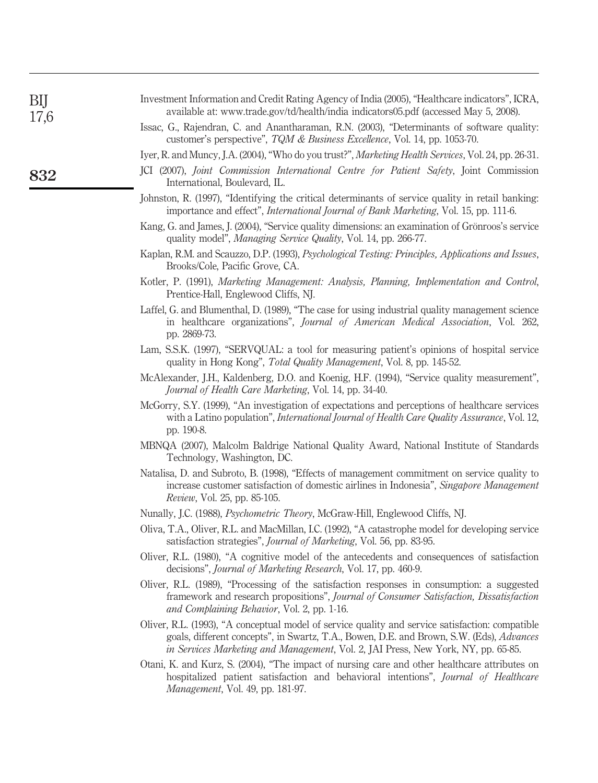| BIJ<br>17,6 | Investment Information and Credit Rating Agency of India (2005), "Healthcare indicators", ICRA,<br>available at: www.trade.gov/td/health/india indicators05.pdf (accessed May 5, 2008).                                                                                           |
|-------------|-----------------------------------------------------------------------------------------------------------------------------------------------------------------------------------------------------------------------------------------------------------------------------------|
|             | Issac, G., Rajendran, C. and Anantharaman, R.N. (2003), "Determinants of software quality:<br>customer's perspective", TQM & Business Excellence, Vol. 14, pp. 1053-70.                                                                                                           |
|             | Iyer, R. and Muncy, J.A. (2004), "Who do you trust?", Marketing Health Services, Vol. 24, pp. 26-31.                                                                                                                                                                              |
| 832         | JCI (2007), Joint Commission International Centre for Patient Safety, Joint Commission<br>International, Boulevard, IL.                                                                                                                                                           |
|             | Johnston, R. (1997), "Identifying the critical determinants of service quality in retail banking:<br>importance and effect", International Journal of Bank Marketing, Vol. 15, pp. 111-6.                                                                                         |
|             | Kang, G. and James, J. (2004), "Service quality dimensions: an examination of Grönroos's service<br>quality model", Managing Service Quality, Vol. 14, pp. 266-77.                                                                                                                |
|             | Kaplan, R.M. and Scauzzo, D.P. (1993), Psychological Testing: Principles, Applications and Issues,<br>Brooks/Cole, Pacific Grove, CA.                                                                                                                                             |
|             | Kotler, P. (1991), Marketing Management: Analysis, Planning, Implementation and Control,<br>Prentice-Hall, Englewood Cliffs, NJ.                                                                                                                                                  |
|             | Laffel, G. and Blumenthal, D. (1989), "The case for using industrial quality management science<br>in healthcare organizations", Journal of American Medical Association, Vol. 262,<br>pp. 2869-73.                                                                               |
|             | Lam, S.S.K. (1997), "SERVQUAL: a tool for measuring patient's opinions of hospital service<br>quality in Hong Kong", Total Quality Management, Vol. 8, pp. 145-52.                                                                                                                |
|             | McAlexander, J.H., Kaldenberg, D.O. and Koenig, H.F. (1994), "Service quality measurement",<br>Journal of Health Care Marketing, Vol. 14, pp. 34-40.                                                                                                                              |
|             | McGorry, S.Y. (1999), "An investigation of expectations and perceptions of healthcare services<br>with a Latino population", <i>International Journal of Health Care Quality Assurance</i> , Vol. 12,<br>pp. 190-8.                                                               |
|             | MBNQA (2007), Malcolm Baldrige National Quality Award, National Institute of Standards<br>Technology, Washington, DC.                                                                                                                                                             |
|             | Natalisa, D. and Subroto, B. (1998), "Effects of management commitment on service quality to<br>increase customer satisfaction of domestic airlines in Indonesia", Singapore Management<br><i>Review</i> , Vol. 25, pp. 85-105.                                                   |
|             | Nunally, J.C. (1988), Psychometric Theory, McGraw-Hill, Englewood Cliffs, NJ.                                                                                                                                                                                                     |
|             | Oliva, T.A., Oliver, R.L. and MacMillan, I.C. (1992), "A catastrophe model for developing service<br>satisfaction strategies", Journal of Marketing, Vol. 56, pp. 83-95.                                                                                                          |
|             | Oliver, R.L. (1980), "A cognitive model of the antecedents and consequences of satisfaction<br>decisions", <i>Journal of Marketing Research</i> , Vol. 17, pp. 460-9.                                                                                                             |
|             | Oliver, R.L. (1989), "Processing of the satisfaction responses in consumption: a suggested<br>framework and research propositions", Journal of Consumer Satisfaction, Dissatisfaction<br>and Complaining Behavior, Vol. 2, pp. 1-16.                                              |
|             | Oliver, R.L. (1993), "A conceptual model of service quality and service satisfaction: compatible<br>goals, different concepts", in Swartz, T.A., Bowen, D.E. and Brown, S.W. (Eds), Advances<br>in Services Marketing and Management, Vol. 2, JAI Press, New York, NY, pp. 65-85. |
|             | Otani, K. and Kurz, S. (2004), "The impact of nursing care and other healthcare attributes on<br>hospitalized patient satisfaction and behavioral intentions", <i>Journal of Healthcare</i><br><i>Management, Vol. 49, pp. 181-97.</i>                                            |
|             |                                                                                                                                                                                                                                                                                   |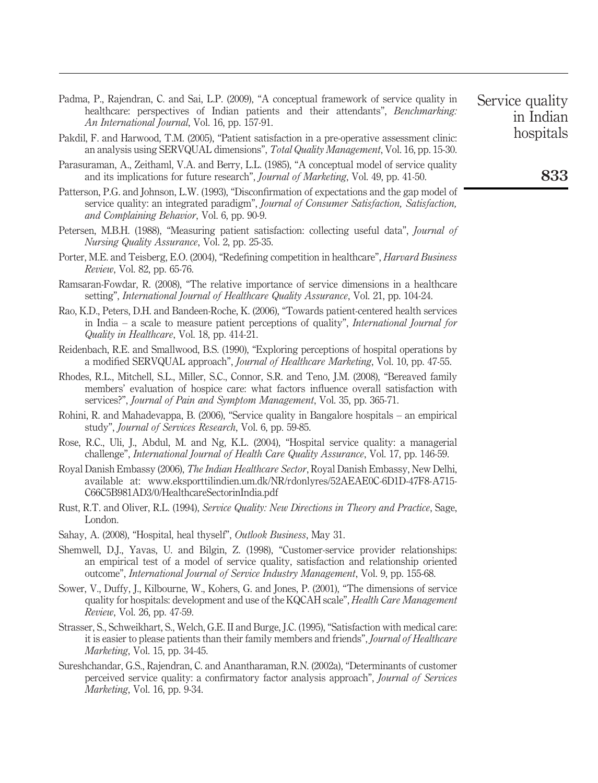- Padma, P., Rajendran, C. and Sai, L.P. (2009), "A conceptual framework of service quality in healthcare: perspectives of Indian patients and their attendants", *Benchmarking: An International Journal*, Vol. 16, pp. 157-91.
- Pakdil, F. and Harwood, T.M. (2005), "Patient satisfaction in a pre-operative assessment clinic: an analysis using SERVQUAL dimensions", *Total Quality Management*, Vol. 16, pp. 15-30.
- Parasuraman, A., Zeithaml, V.A. and Berry, L.L. (1985), "A conceptual model of service quality and its implications for future research", *Journal of Marketing*, Vol. 49, pp. 41-50.
- Patterson, P.G. and Johnson, L.W. (1993), "Disconfirmation of expectations and the gap model of service quality: an integrated paradigm", *Journal of Consumer Satisfaction, Satisfaction, and Complaining Behavior*, Vol. 6, pp. 90-9.
- Petersen, M.B.H. (1988), "Measuring patient satisfaction: collecting useful data", *Journal of Nursing Quality Assurance*, Vol. 2, pp. 25-35.
- Porter, M.E. and Teisberg, E.O. (2004), "Redefining competition in healthcare", *Harvard Business Review*, Vol. 82, pp. 65-76.
- Ramsaran-Fowdar, R. (2008), "The relative importance of service dimensions in a healthcare setting", *International Journal of Healthcare Quality Assurance*, Vol. 21, pp. 104-24.
- Rao, K.D., Peters, D.H. and Bandeen-Roche, K. (2006), "Towards patient-centered health services in India – a scale to measure patient perceptions of quality", *International Journal for Quality in Healthcare*, Vol. 18, pp. 414-21.
- Reidenbach, R.E. and Smallwood, B.S. (1990), "Exploring perceptions of hospital operations by a modified SERVQUAL approach", *Journal of Healthcare Marketing*, Vol. 10, pp. 47-55.
- Rhodes, R.L., Mitchell, S.L., Miller, S.C., Connor, S.R. and Teno, J.M. (2008), "Bereaved family members' evaluation of hospice care: what factors influence overall satisfaction with services?", *Journal of Pain and Symptom Management*, Vol. 35, pp. 365-71.
- Rohini, R. and Mahadevappa, B. (2006), "Service quality in Bangalore hospitals an empirical study", *Journal of Services Research*, Vol. 6, pp. 59-85.
- Rose, R.C., Uli, J., Abdul, M. and Ng, K.L. (2004), "Hospital service quality: a managerial challenge", *International Journal of Health Care Quality Assurance*, Vol. 17, pp. 146-59.
- Royal Danish Embassy (2006), *The Indian Healthcare Sector*, Royal Danish Embassy, New Delhi, available at: www.eksporttilindien.um.dk/NR/rdonlyres/52AEAE0C-6D1D-47F8-A715- C66C5B981AD3/0/HealthcareSectorinIndia.pdf
- Rust, R.T. and Oliver, R.L. (1994), *Service Quality: New Directions in Theory and Practice*, Sage, London.
- Sahay, A. (2008), "Hospital, heal thyself", *Outlook Business*, May 31.
- Shemwell, D.J., Yavas, U. and Bilgin, Z. (1998), "Customer-service provider relationships: an empirical test of a model of service quality, satisfaction and relationship oriented outcome", *International Journal of Service Industry Management*, Vol. 9, pp. 155-68.
- Sower, V., Duffy, J., Kilbourne, W., Kohers, G. and Jones, P. (2001), "The dimensions of service quality for hospitals: development and use of the KQCAH scale", *Health Care Management Review*, Vol. 26, pp. 47-59.
- Strasser, S., Schweikhart, S., Welch, G.E. II and Burge, J.C. (1995), "Satisfaction with medical care: it is easier to please patients than their family members and friends", *Journal of Healthcare Marketing*, Vol. 15, pp. 34-45.
- Sureshchandar, G.S., Rajendran, C. and Anantharaman, R.N. (2002a), "Determinants of customer perceived service quality: a confirmatory factor analysis approach", *Journal of Services Marketing*, Vol. 16, pp. 9-34.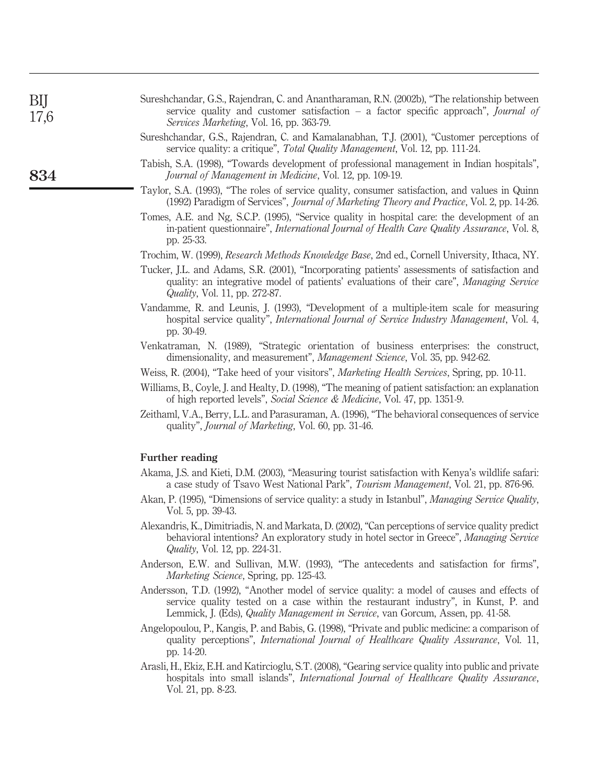| BIJ<br>17,6 | Sureshchandar, G.S., Rajendran, C. and Anantharaman, R.N. (2002b), "The relationship between<br>service quality and customer satisfaction - a factor specific approach", Journal of<br>Services Marketing, Vol. 16, pp. 363-79.                                              |
|-------------|------------------------------------------------------------------------------------------------------------------------------------------------------------------------------------------------------------------------------------------------------------------------------|
|             | Sureshchandar, G.S., Rajendran, C. and Kamalanabhan, T.J. (2001), "Customer perceptions of<br>service quality: a critique", <i>Total Quality Management</i> , Vol. 12, pp. 111-24.                                                                                           |
| 834         | Tabish, S.A. (1998), "Towards development of professional management in Indian hospitals",<br><i>Journal of Management in Medicine, Vol. 12, pp. 109-19.</i>                                                                                                                 |
|             | Taylor, S.A. (1993), "The roles of service quality, consumer satisfaction, and values in Quinn<br>(1992) Paradigm of Services", Journal of Marketing Theory and Practice, Vol. 2, pp. 14-26.                                                                                 |
|             | Tomes, A.E. and Ng, S.C.P. (1995), "Service quality in hospital care: the development of an<br>in-patient questionnaire", <i>International Journal of Health Care Quality Assurance</i> , Vol. 8,<br>pp. 25-33.                                                              |
|             | Trochim, W. (1999), Research Methods Knowledge Base, 2nd ed., Cornell University, Ithaca, NY.                                                                                                                                                                                |
|             | Tucker, J.L. and Adams, S.R. (2001), "Incorporating patients' assessments of satisfaction and<br>quality: an integrative model of patients' evaluations of their care", Managing Service<br><i>Quality</i> , Vol. 11, pp. 272-87.                                            |
|             | Vandamme, R. and Leunis, J. (1993), "Development of a multiple-item scale for measuring<br>hospital service quality", <i>International Journal of Service Industry Management</i> , Vol. 4,<br>pp. 30-49.                                                                    |
|             | Venkatraman, N. (1989), "Strategic orientation of business enterprises: the construct,<br>dimensionality, and measurement", <i>Management Science</i> , Vol. 35, pp. 942-62.                                                                                                 |
|             | Weiss, R. (2004), "Take heed of your visitors", <i>Marketing Health Services</i> , Spring, pp. 10-11.                                                                                                                                                                        |
|             | Williams, B., Coyle, J. and Healty, D. (1998), "The meaning of patient satisfaction: an explanation<br>of high reported levels", Social Science & Medicine, Vol. 47, pp. 1351-9.                                                                                             |
|             | Zeithaml, V.A., Berry, L.L. and Parasuraman, A. (1996), "The behavioral consequences of service<br>quality", <i>Journal of Marketing</i> , Vol. 60, pp. 31-46.                                                                                                               |
|             | <b>Further reading</b>                                                                                                                                                                                                                                                       |
|             | Akama, J.S. and Kieti, D.M. (2003), "Measuring tourist satisfaction with Kenya's wildlife safari:<br>a case study of Tsavo West National Park", Tourism Management, Vol. 21, pp. 876-96.                                                                                     |
|             | Akan, P. (1995), "Dimensions of service quality: a study in Istanbul", <i>Managing Service Quality</i> ,<br>Vol. 5, pp. 39-43.                                                                                                                                               |
|             | Alexandris, K., Dimitriadis, N. and Markata, D. (2002), "Can perceptions of service quality predict<br>behavioral intentions? An exploratory study in hotel sector in Greece", Managing Service<br><i>Quality</i> , Vol. 12, pp. 224-31.                                     |
|             | Anderson, E.W. and Sullivan, M.W. (1993), "The antecedents and satisfaction for firms",<br><i>Marketing Science, Spring, pp. 125-43.</i>                                                                                                                                     |
|             | Andersson, T.D. (1992), "Another model of service quality: a model of causes and effects of<br>service quality tested on a case within the restaurant industry", in Kunst, P. and<br>Lemmick, J. (Eds), <i>Quality Management in Service</i> , van Gorcum, Assen, pp. 41-58. |
|             | Angelopoulou, P., Kangis, P. and Babis, G. (1998), "Private and public medicine: a comparison of<br>quality perceptions", <i>International Journal of Healthcare Quality Assurance</i> , Vol. 11,<br>pp. 14-20.                                                              |
|             | Arasli, H., Ekiz, E.H. and Katircioglu, S.T. (2008), "Gearing service quality into public and private<br>hospitals into small islands", <i>International Journal of Healthcare Quality Assurance</i> ,<br>Vol. 21, pp. 8-23.                                                 |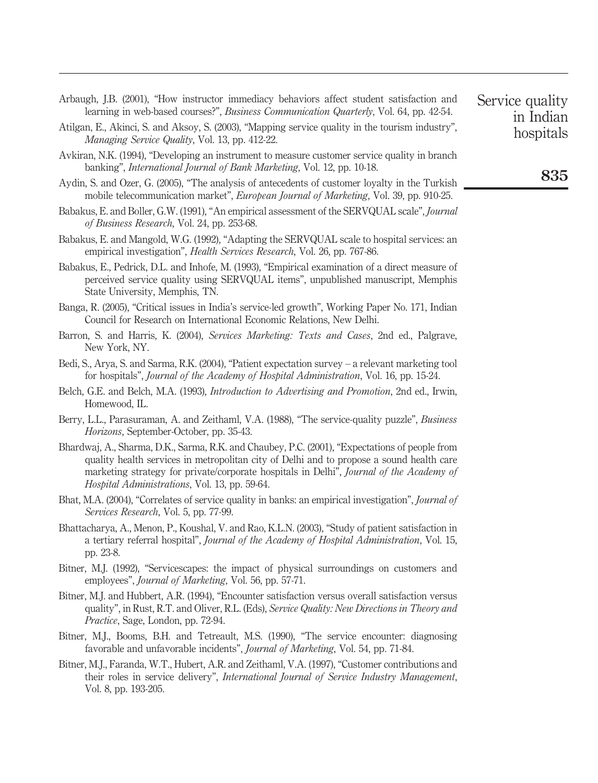| Arbaugh, J.B. (2001), "How instructor immediacy behaviors affect student satisfaction and |  |                                                                                        |  |  |  |
|-------------------------------------------------------------------------------------------|--|----------------------------------------------------------------------------------------|--|--|--|
|                                                                                           |  | learning in web-based courses?", Business Communication Quarterly, Vol. 64, pp. 42-54. |  |  |  |

- Atilgan, E., Akinci, S. and Aksoy, S. (2003), "Mapping service quality in the tourism industry", *Managing Service Quality*, Vol. 13, pp. 412-22.
- Avkiran, N.K. (1994), "Developing an instrument to measure customer service quality in branch banking", *International Journal of Bank Marketing*, Vol. 12, pp. 10-18.
- Aydin, S. and Ozer, G. (2005), "The analysis of antecedents of customer loyalty in the Turkish mobile telecommunication market", *European Journal of Marketing*, Vol. 39, pp. 910-25.
- Babakus, E. and Boller, G.W. (1991), "An empirical assessment of the SERVQUAL scale", *Journal of Business Research*, Vol. 24, pp. 253-68.
- Babakus, E. and Mangold, W.G. (1992), "Adapting the SERVQUAL scale to hospital services: an empirical investigation", *Health Services Research*, Vol. 26, pp. 767-86.
- Babakus, E., Pedrick, D.L. and Inhofe, M. (1993), "Empirical examination of a direct measure of perceived service quality using SERVQUAL items", unpublished manuscript, Memphis State University, Memphis, TN.
- Banga, R. (2005), "Critical issues in India's service-led growth", Working Paper No. 171, Indian Council for Research on International Economic Relations, New Delhi.
- Barron, S. and Harris, K. (2004), *Services Marketing: Texts and Cases*, 2nd ed., Palgrave, New York, NY.
- Bedi, S., Arya, S. and Sarma, R.K. (2004), "Patient expectation survey a relevant marketing tool for hospitals", *Journal of the Academy of Hospital Administration*, Vol. 16, pp. 15-24.
- Belch, G.E. and Belch, M.A. (1993), *Introduction to Advertising and Promotion*, 2nd ed., Irwin, Homewood, IL.
- Berry, L.L., Parasuraman, A. and Zeithaml, V.A. (1988), "The service-quality puzzle", *Business Horizons*, September-October, pp. 35-43.
- Bhardwaj, A., Sharma, D.K., Sarma, R.K. and Chaubey, P.C. (2001), "Expectations of people from quality health services in metropolitan city of Delhi and to propose a sound health care marketing strategy for private/corporate hospitals in Delhi", *Journal of the Academy of Hospital Administrations*, Vol. 13, pp. 59-64.
- Bhat, M.A. (2004), "Correlates of service quality in banks: an empirical investigation", *Journal of Services Research*, Vol. 5, pp. 77-99.
- Bhattacharya, A., Menon, P., Koushal, V. and Rao, K.L.N. (2003), "Study of patient satisfaction in a tertiary referral hospital", *Journal of the Academy of Hospital Administration*, Vol. 15, pp. 23-8.
- Bitner, M.J. (1992), "Servicescapes: the impact of physical surroundings on customers and employees", *Journal of Marketing*, Vol. 56, pp. 57-71.
- Bitner, M.J. and Hubbert, A.R. (1994), "Encounter satisfaction versus overall satisfaction versus quality", in Rust, R.T. and Oliver, R.L. (Eds), *Service Quality: New Directions in Theory and Practice*, Sage, London, pp. 72-94.
- Bitner, M.J., Booms, B.H. and Tetreault, M.S. (1990), "The service encounter: diagnosing favorable and unfavorable incidents", *Journal of Marketing*, Vol. 54, pp. 71-84.
- Bitner, M.J., Faranda, W.T., Hubert, A.R. and Zeithaml, V.A. (1997), "Customer contributions and their roles in service delivery", *International Journal of Service Industry Management*, Vol. 8, pp. 193-205.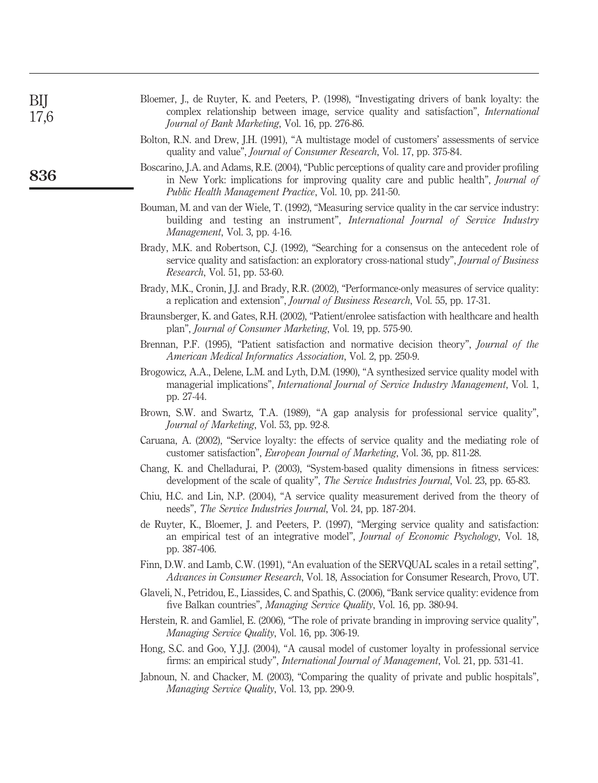| BIJ<br>17,6 | Bloemer, J., de Ruyter, K. and Peeters, P. (1998), "Investigating drivers of bank loyalty: the<br>complex relationship between image, service quality and satisfaction", International<br><i>Journal of Bank Marketing, Vol. 16, pp. 276-86.</i>     |
|-------------|------------------------------------------------------------------------------------------------------------------------------------------------------------------------------------------------------------------------------------------------------|
|             | Bolton, R.N. and Drew, J.H. (1991), "A multistage model of customers' assessments of service<br>quality and value", Journal of Consumer Research, Vol. 17, pp. 375-84.                                                                               |
| 836         | Boscarino, J.A. and Adams, R.E. (2004), "Public perceptions of quality care and provider profiling<br>in New York: implications for improving quality care and public health", Journal of<br>Public Health Management Practice, Vol. 10, pp. 241-50. |
|             | Bouman, M. and van der Wiele, T. (1992), "Measuring service quality in the car service industry:<br>building and testing an instrument", International Journal of Service Industry<br><i>Management, Vol. 3, pp. 4-16.</i>                           |
|             | Brady, M.K. and Robertson, C.J. (1992), "Searching for a consensus on the antecedent role of<br>service quality and satisfaction: an exploratory cross-national study", Journal of Business<br>Research, Vol. 51, pp. 53-60.                         |
|             | Brady, M.K., Cronin, J.J. and Brady, R.R. (2002), "Performance-only measures of service quality:<br>a replication and extension", Journal of Business Research, Vol. 55, pp. 17-31.                                                                  |
|             | Braunsberger, K. and Gates, R.H. (2002), "Patient/enrolee satisfaction with healthcare and health<br>plan", Journal of Consumer Marketing, Vol. 19, pp. 575-90.                                                                                      |
|             | Brennan, P.F. (1995), "Patient satisfaction and normative decision theory", Journal of the<br>American Medical Informatics Association, Vol. 2, pp. 250-9.                                                                                           |
|             | Brogowicz, A.A., Delene, L.M. and Lyth, D.M. (1990), "A synthesized service quality model with<br>managerial implications", <i>International Journal of Service Industry Management</i> , Vol. 1,<br>pp. 27-44.                                      |
|             | Brown, S.W. and Swartz, T.A. (1989), "A gap analysis for professional service quality",<br>Journal of Marketing, Vol. 53, pp. 92-8.                                                                                                                  |
|             | Caruana, A. (2002), "Service loyalty: the effects of service quality and the mediating role of<br>customer satisfaction", European Journal of Marketing, Vol. 36, pp. 811-28.                                                                        |
|             | Chang, K. and Chelladurai, P. (2003), "System-based quality dimensions in fitness services:<br>development of the scale of quality", The Service Industries Journal, Vol. 23, pp. 65-83.                                                             |
|             | Chiu, H.C. and Lin, N.P. (2004), "A service quality measurement derived from the theory of<br>needs", The Service Industries Journal, Vol. 24, pp. 187-204.                                                                                          |
|             | de Ruyter, K., Bloemer, J. and Peeters, P. (1997), "Merging service quality and satisfaction:<br>an empirical test of an integrative model", Journal of Economic Psychology, Vol. 18,<br>pp. 387-406.                                                |
|             | Finn, D.W. and Lamb, C.W. (1991), "An evaluation of the SERVQUAL scales in a retail setting",<br>Advances in Consumer Research, Vol. 18, Association for Consumer Research, Provo, UT.                                                               |
|             | Glaveli, N., Petridou, E., Liassides, C. and Spathis, C. (2006), "Bank service quality: evidence from<br>five Balkan countries", Managing Service Quality, Vol. 16, pp. 380-94.                                                                      |
|             | Herstein, R. and Gamliel, E. (2006), "The role of private branding in improving service quality",<br>Managing Service Quality, Vol. 16, pp. 306-19.                                                                                                  |
|             | Hong, S.C. and Goo, Y.J.J. (2004), "A causal model of customer loyalty in professional service<br>firms: an empirical study", <i>International Journal of Management</i> , Vol. 21, pp. 531-41.                                                      |
|             | Jabnoun, N. and Chacker, M. (2003), "Comparing the quality of private and public hospitals",<br>Managing Service Quality, Vol. 13, pp. 290-9.                                                                                                        |
|             |                                                                                                                                                                                                                                                      |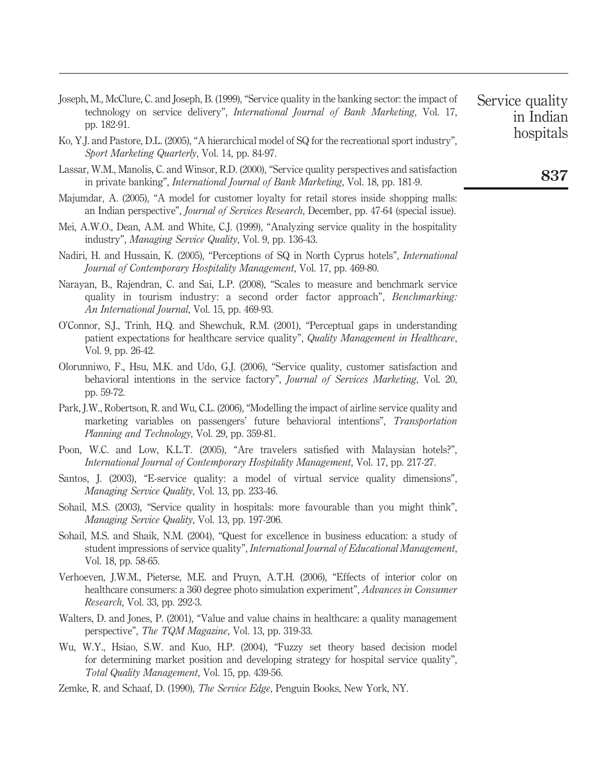- Joseph, M., McClure, C. and Joseph, B. (1999), "Service quality in the banking sector: the impact of technology on service delivery", *International Journal of Bank Marketing*, Vol. 17, pp. 182-91.
- Ko, Y.J. and Pastore, D.L. (2005), "A hierarchical model of SQ for the recreational sport industry", *Sport Marketing Quarterly*, Vol. 14, pp. 84-97.
- Lassar, W.M., Manolis, C. and Winsor, R.D. (2000), "Service quality perspectives and satisfaction in private banking", *International Journal of Bank Marketing*, Vol. 18, pp. 181-9.
- Majumdar, A. (2005), "A model for customer loyalty for retail stores inside shopping malls: an Indian perspective", *Journal of Services Research*, December, pp. 47-64 (special issue).
- Mei, A.W.O., Dean, A.M. and White, C.J. (1999), "Analyzing service quality in the hospitality industry", *Managing Service Quality*, Vol. 9, pp. 136-43.
- Nadiri, H. and Hussain, K. (2005), "Perceptions of SQ in North Cyprus hotels", *International Journal of Contemporary Hospitality Management*, Vol. 17, pp. 469-80.
- Narayan, B., Rajendran, C. and Sai, L.P. (2008), "Scales to measure and benchmark service quality in tourism industry: a second order factor approach", *Benchmarking: An International Journal*, Vol. 15, pp. 469-93.
- O'Connor, S.J., Trinh, H.Q. and Shewchuk, R.M. (2001), "Perceptual gaps in understanding patient expectations for healthcare service quality", *Quality Management in Healthcare*, Vol. 9, pp. 26-42.
- Olorunniwo, F., Hsu, M.K. and Udo, G.J. (2006), "Service quality, customer satisfaction and behavioral intentions in the service factory", *Journal of Services Marketing*, Vol. 20, pp. 59-72.
- Park, J.W., Robertson, R. and Wu, C.L. (2006), "Modelling the impact of airline service quality and marketing variables on passengers' future behavioral intentions", *Transportation Planning and Technology*, Vol. 29, pp. 359-81.
- Poon, W.C. and Low, K.L.T. (2005), "Are travelers satisfied with Malaysian hotels?", *International Journal of Contemporary Hospitality Management*, Vol. 17, pp. 217-27.
- Santos, J. (2003), "E-service quality: a model of virtual service quality dimensions", *Managing Service Quality*, Vol. 13, pp. 233-46.
- Sohail, M.S. (2003), "Service quality in hospitals: more favourable than you might think", *Managing Service Quality*, Vol. 13, pp. 197-206.
- Sohail, M.S. and Shaik, N.M. (2004), "Quest for excellence in business education: a study of student impressions of service quality", *International Journal of Educational Management*, Vol. 18, pp. 58-65.
- Verhoeven, J.W.M., Pieterse, M.E. and Pruyn, A.T.H. (2006), "Effects of interior color on healthcare consumers: a 360 degree photo simulation experiment", *Advances in Consumer Research*, Vol. 33, pp. 292-3.
- Walters, D. and Jones, P. (2001), "Value and value chains in healthcare: a quality management perspective", *The TQM Magazine*, Vol. 13, pp. 319-33.
- Wu, W.Y., Hsiao, S.W. and Kuo, H.P. (2004), "Fuzzy set theory based decision model for determining market position and developing strategy for hospital service quality", *Total Quality Management*, Vol. 15, pp. 439-56.
- Zemke, R. and Schaaf, D. (1990), *The Service Edge*, Penguin Books, New York, NY.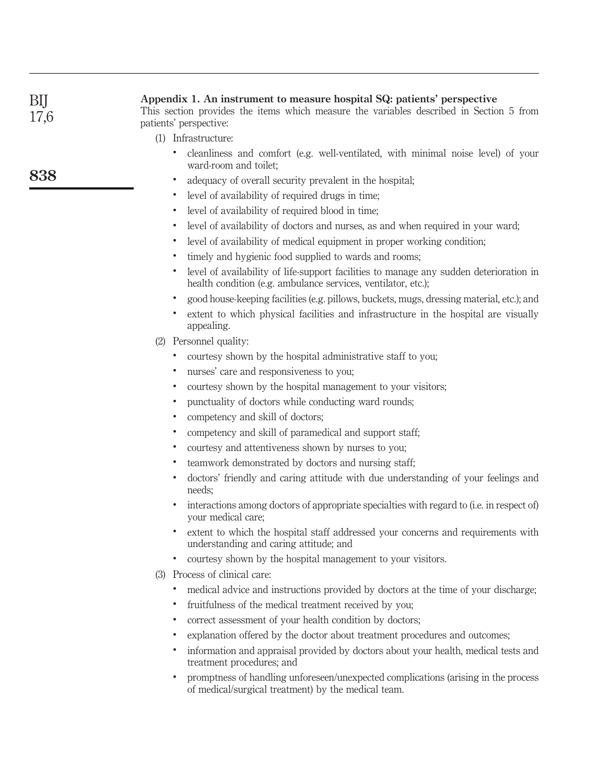| BIJ  | Appendix 1. An instrument to measure hospital SQ: patients' perspective                 |
|------|-----------------------------------------------------------------------------------------|
| 17,6 | This section provides the items which measure the variables described in Section 5 from |
|      | patients' perspective:                                                                  |

- (1) Infrastructure:
	- . cleanliness and comfort (e.g. well-ventilated, with minimal noise level) of your ward-room and toilet;
	- . adequacy of overall security prevalent in the hospital;
	- . level of availability of required drugs in time;
	- . level of availability of required blood in time;
	- . level of availability of doctors and nurses, as and when required in your ward;
	- . level of availability of medical equipment in proper working condition;
	- . timely and hygienic food supplied to wards and rooms;
	- . level of availability of life-support facilities to manage any sudden deterioration in health condition (e.g. ambulance services, ventilator, etc.);
	- . good house-keeping facilities (e.g. pillows, buckets, mugs, dressing material, etc.); and
	- . extent to which physical facilities and infrastructure in the hospital are visually appealing.
- (2) Personnel quality:
	- . courtesy shown by the hospital administrative staff to you;
	- . nurses' care and responsiveness to you;
	- . courtesy shown by the hospital management to your visitors;
	- . punctuality of doctors while conducting ward rounds;
	- . competency and skill of doctors;
	- . competency and skill of paramedical and support staff;
	- . courtesy and attentiveness shown by nurses to you;
	- . teamwork demonstrated by doctors and nursing staff;
	- . doctors' friendly and caring attitude with due understanding of your feelings and needs;
	- . interactions among doctors of appropriate specialties with regard to (i.e. in respect of) your medical care;
	- . extent to which the hospital staff addressed your concerns and requirements with understanding and caring attitude; and
	- . courtesy shown by the hospital management to your visitors.
- (3) Process of clinical care:
	- . medical advice and instructions provided by doctors at the time of your discharge;
	- . fruitfulness of the medical treatment received by you;
	- . correct assessment of your health condition by doctors;
	- . explanation offered by the doctor about treatment procedures and outcomes;
	- . information and appraisal provided by doctors about your health, medical tests and treatment procedures; and
	- . promptness of handling unforeseen/unexpected complications (arising in the process of medical/surgical treatment) by the medical team.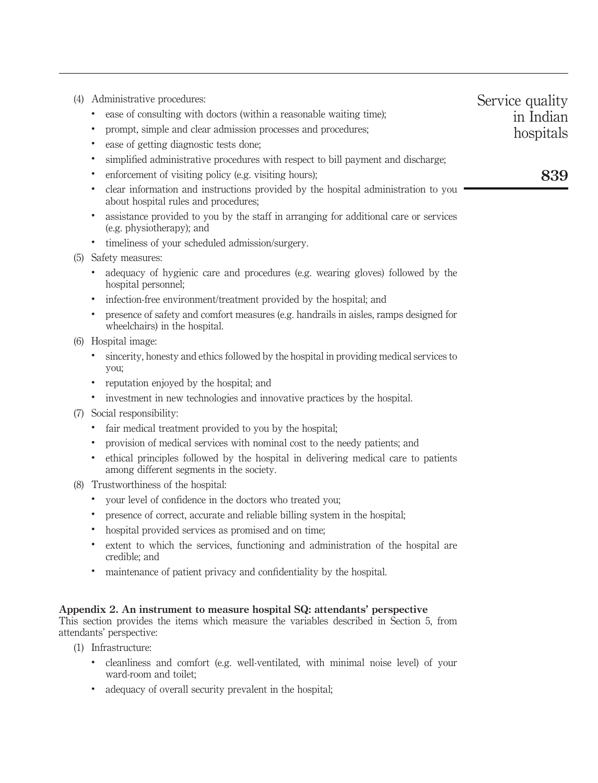|     | (4) Administrative procedures:                                                                                                                                                                    | Service quality |
|-----|---------------------------------------------------------------------------------------------------------------------------------------------------------------------------------------------------|-----------------|
|     | ease of consulting with doctors (within a reasonable waiting time);                                                                                                                               | in Indian       |
|     | prompt, simple and clear admission processes and procedures;<br>٠                                                                                                                                 | hospitals       |
|     | ease of getting diagnostic tests done;                                                                                                                                                            |                 |
|     | simplified administrative procedures with respect to bill payment and discharge;                                                                                                                  |                 |
|     | enforcement of visiting policy (e.g. visiting hours);                                                                                                                                             | 839             |
|     | clear information and instructions provided by the hospital administration to you<br>about hospital rules and procedures;                                                                         |                 |
|     | assistance provided to you by the staff in arranging for additional care or services<br>(e.g. physiotherapy); and                                                                                 |                 |
|     | timeliness of your scheduled admission/surgery.                                                                                                                                                   |                 |
|     | (5) Safety measures:                                                                                                                                                                              |                 |
|     | adequacy of hygienic care and procedures (e.g. wearing gloves) followed by the<br>hospital personnel;                                                                                             |                 |
|     | infection-free environment/treatment provided by the hospital; and                                                                                                                                |                 |
|     | presence of safety and comfort measures (e.g. handrails in aisles, ramps designed for<br>wheelchairs) in the hospital.                                                                            |                 |
|     | (6) Hospital image:                                                                                                                                                                               |                 |
|     | sincerity, honesty and ethics followed by the hospital in providing medical services to<br>you;                                                                                                   |                 |
|     | reputation enjoyed by the hospital; and<br>٠                                                                                                                                                      |                 |
|     | investment in new technologies and innovative practices by the hospital.                                                                                                                          |                 |
| (7) | Social responsibility:                                                                                                                                                                            |                 |
|     | fair medical treatment provided to you by the hospital;<br>$\bullet$                                                                                                                              |                 |
|     | provision of medical services with nominal cost to the needy patients; and                                                                                                                        |                 |
|     | ethical principles followed by the hospital in delivering medical care to patients<br>among different segments in the society.                                                                    |                 |
| (8) | Trustworthiness of the hospital:                                                                                                                                                                  |                 |
|     | your level of confidence in the doctors who treated you;                                                                                                                                          |                 |
|     | presence of correct, accurate and reliable billing system in the hospital;                                                                                                                        |                 |
|     | hospital provided services as promised and on time;                                                                                                                                               |                 |
|     | extent to which the services, functioning and administration of the hospital are<br>credible; and                                                                                                 |                 |
|     | maintenance of patient privacy and confidentiality by the hospital.                                                                                                                               |                 |
|     | Appendix 2. An instrument to measure hospital SQ: attendants' perspective<br>This section provides the items which measure the variables described in Section 5, from<br>attendants' perspective: |                 |
|     | (1) Infrastructure:                                                                                                                                                                               |                 |
|     | cleanliness and comfort (e.g. well-ventilated, with minimal noise level) of your<br>ward-room and toilet;                                                                                         |                 |
|     | adequacy of overall security prevalent in the hospital;                                                                                                                                           |                 |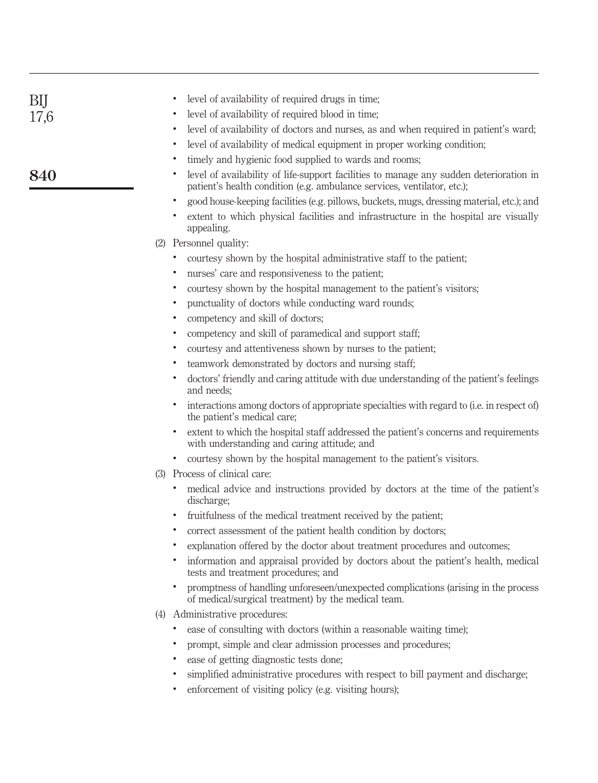# BIJ 17,6

- . level of availability of required drugs in time;
- . level of availability of required blood in time;
- . level of availability of doctors and nurses, as and when required in patient's ward;
- . level of availability of medical equipment in proper working condition;
	- . timely and hygienic food supplied to wards and rooms;
- . level of availability of life-support facilities to manage any sudden deterioration in patient's health condition (e.g. ambulance services, ventilator, etc.);
- . good house-keeping facilities (e.g. pillows, buckets, mugs, dressing material, etc.); and
- . extent to which physical facilities and infrastructure in the hospital are visually appealing.
- (2) Personnel quality:
	- . courtesy shown by the hospital administrative staff to the patient;
	- nurses' care and responsiveness to the patient;
	- . courtesy shown by the hospital management to the patient's visitors;
	- . punctuality of doctors while conducting ward rounds;
	- . competency and skill of doctors;
	- . competency and skill of paramedical and support staff;
	- . courtesy and attentiveness shown by nurses to the patient;
	- . teamwork demonstrated by doctors and nursing staff;
	- . doctors' friendly and caring attitude with due understanding of the patient's feelings and needs;
	- . interactions among doctors of appropriate specialties with regard to (i.e. in respect of) the patient's medical care;
	- . extent to which the hospital staff addressed the patient's concerns and requirements with understanding and caring attitude; and
	- . courtesy shown by the hospital management to the patient's visitors.
- (3) Process of clinical care:
	- . medical advice and instructions provided by doctors at the time of the patient's discharge;
	- . fruitfulness of the medical treatment received by the patient;
	- . correct assessment of the patient health condition by doctors;
	- . explanation offered by the doctor about treatment procedures and outcomes;
	- . information and appraisal provided by doctors about the patient's health, medical tests and treatment procedures; and
	- . promptness of handling unforeseen/unexpected complications (arising in the process of medical/surgical treatment) by the medical team.
- (4) Administrative procedures:
	- . ease of consulting with doctors (within a reasonable waiting time);
	- . prompt, simple and clear admission processes and procedures;
	- . ease of getting diagnostic tests done;
	- . simplified administrative procedures with respect to bill payment and discharge;
	- . enforcement of visiting policy (e.g. visiting hours);